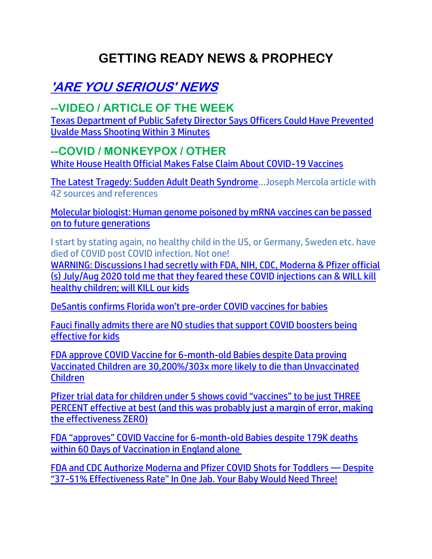# **GETTING READY NEWS & PROPHECY**

# **'ARE YOU SERIOUS' NEWS**

# **--VIDEO / ARTICLE OF THE WEEK**

[Texas Department of Public Safety Director Says Officers Could Have Prevented](https://welovetrump.com/2022/06/21/texas-department-of-public-safety-director-says-officers-could-have-prevented-uvalde-mass-shooting-within-3-minutes/)  [Uvalde Mass Shooting Within 3 Minutes](https://welovetrump.com/2022/06/21/texas-department-of-public-safety-director-says-officers-could-have-prevented-uvalde-mass-shooting-within-3-minutes/)

### **--COVID / MONKEYPOX / OTHER**

[White House Health Official Makes False Claim About COVID-19 Vaccines](https://lists.youmaker.com/links/u4OjUaeoAg/Jlid8tcrj/7xAbPNiP2/ghtt90uqqH)

[The Latest Tragedy: Sudden Adult Death Syndrome](https://lists.youmaker.com/links/u4OjUaeoAg/Jlid8tcrj/7xAbPNiP2/IopS7JVHsA)…Joseph Mercola article with 42 sources and references

[Molecular biologist: Human genome poisoned by mRNA vaccines can be passed](https://www.naturalnews.com/2022-06-21-mrna-poisoned-human-genome-can-be-passed-on.html)  [on to future generations](https://www.naturalnews.com/2022-06-21-mrna-poisoned-human-genome-can-be-passed-on.html)

I start by stating again, no healthy child in the US, or Germany, Sweden etc. have died of COVID post COVID infection. Not one!

[WARNING: Discussions I had secretly with FDA, NIH, CDC, Moderna & Pfizer official](https://palexander.substack.com/p/warning-discussions-i-had-secretly)  [\(s\) July/Aug 2020 told me that they feared these COVID injections can & WILL kill](https://palexander.substack.com/p/warning-discussions-i-had-secretly)  [healthy children; will KILL our kids](https://palexander.substack.com/p/warning-discussions-i-had-secretly)

[DeSantis confirms Florida won't pre](https://www.lifesitenews.com/news/desantis-confirms-florida-wont-pre-order-covid-vaccines-for-babies/?utm_source=top_news&utm_campaign=usa)-order COVID vaccines for babies

[Fauci finally admits there are NO studies that support COVID boosters being](https://www.naturalnews.com/2022-06-21-fauci-admits-no-studies-support-covid-boosters-for-kids.html)  [effective for kids](https://www.naturalnews.com/2022-06-21-fauci-admits-no-studies-support-covid-boosters-for-kids.html)

[FDA approve COVID Vaccine for 6-month-old Babies despite Data proving](https://expose-news.com/2022/06/20/fda-covid-vaccine-babies-data-303x-more-likely-die/)  [Vaccinated Children are 30,200%/303x more likely to die than Unvaccinated](https://expose-news.com/2022/06/20/fda-covid-vaccine-babies-data-303x-more-likely-die/)  [Children](https://expose-news.com/2022/06/20/fda-covid-vaccine-babies-data-303x-more-likely-die/)

[Pfizer trial data for children under 5 shows covid "vaccines" to be just THREE](https://www.naturalnews.com/2022-06-21-pfizer-trial-children-covid-vaccines-ineffective-dangerous.html)  [PERCENT effective at best \(and this was probably just a margin of error, making](https://www.naturalnews.com/2022-06-21-pfizer-trial-children-covid-vaccines-ineffective-dangerous.html)  [the effectiveness ZERO\)](https://www.naturalnews.com/2022-06-21-pfizer-trial-children-covid-vaccines-ineffective-dangerous.html)

FDA "approves" [COVID Vaccine for 6-month-old Babies despite 179K deaths](https://expose-news.com/2022/06/21/fda-covid-vaccine-babies-179k-dead-60-days-uk/)  [within 60 Days of Vaccination in England alone](https://expose-news.com/2022/06/21/fda-covid-vaccine-babies-179k-dead-60-days-uk/)

[FDA and CDC Authorize Moderna and Pfizer COVID Shots for Toddlers](https://ratherexposethem.org/2022/06/21/fda-and-cdc-authorize-moderna-and-pfizer-covid-shots-for-toddlers-despite-37-51-effectiveness-rate-in-one-jab-your-baby-would-need-three/) — Despite "37-[51% Effectiveness Rate" In One Jab. Your Baby Would Need Three!](https://ratherexposethem.org/2022/06/21/fda-and-cdc-authorize-moderna-and-pfizer-covid-shots-for-toddlers-despite-37-51-effectiveness-rate-in-one-jab-your-baby-would-need-three/)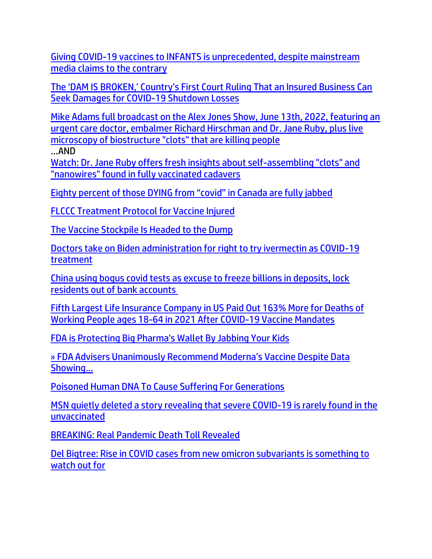[Giving COVID-19 vaccines to INFANTS is unprecedented, despite mainstream](https://www.naturalnews.com/2022-06-21-giving-covid-vaccines-to-infants-is-unprecedented.html)  [media claims to the contrary](https://www.naturalnews.com/2022-06-21-giving-covid-vaccines-to-infants-is-unprecedented.html)

[The 'DAM IS BROKEN,' Country's First Court Ruling That an Insured Business Can](https://welovetrump.com/2022/06/19/the-dam-is-broken-countrys-first-court-ruling-that-an-insured-business-can-seek-damages-for-covid-19-shutdown-losses/)  [Seek Damages for COVID-19 Shutdown Losses](https://welovetrump.com/2022/06/19/the-dam-is-broken-countrys-first-court-ruling-that-an-insured-business-can-seek-damages-for-covid-19-shutdown-losses/)

[Mike Adams full broadcast on the Alex Jones Show, June 13th, 2022, featuring an](https://ce-publicdy.naturalnews.com/ct.asp?id=95E25C79FAB25734B8CD8E2692E8D50B63414C0950B3F2A5CA96EC309AB7D5D949BC029C51744ED80C2C8BAD7E83EE86&ct=4aeUs2wAAABCWmgzMUFZJlNZ0QSmjgAAHxmAAAP9ED7%2f3qAgAGhFNpA0NpqeoeozUeoRT1NPCTymmgBkaYFIxW862IcWd0Y9QpdABHcECE49UzqhRe0l482VhvjWBtUxj6SyMMoP8VFRjCYs%2bGqkCOL2lRNrTcT4RB86%2fF3JFOFCQ0QSmjg%3d)  [urgent care doctor, embalmer Richard Hirschman and Dr. Jane Ruby, plus live](https://ce-publicdy.naturalnews.com/ct.asp?id=95E25C79FAB25734B8CD8E2692E8D50B63414C0950B3F2A5CA96EC309AB7D5D949BC029C51744ED80C2C8BAD7E83EE86&ct=4aeUs2wAAABCWmgzMUFZJlNZ0QSmjgAAHxmAAAP9ED7%2f3qAgAGhFNpA0NpqeoeozUeoRT1NPCTymmgBkaYFIxW862IcWd0Y9QpdABHcECE49UzqhRe0l482VhvjWBtUxj6SyMMoP8VFRjCYs%2bGqkCOL2lRNrTcT4RB86%2fF3JFOFCQ0QSmjg%3d)  [microscopy of biostructure "clots" that are killing people](https://ce-publicdy.naturalnews.com/ct.asp?id=95E25C79FAB25734B8CD8E2692E8D50B63414C0950B3F2A5CA96EC309AB7D5D949BC029C51744ED80C2C8BAD7E83EE86&ct=4aeUs2wAAABCWmgzMUFZJlNZ0QSmjgAAHxmAAAP9ED7%2f3qAgAGhFNpA0NpqeoeozUeoRT1NPCTymmgBkaYFIxW862IcWd0Y9QpdABHcECE49UzqhRe0l482VhvjWBtUxj6SyMMoP8VFRjCYs%2bGqkCOL2lRNrTcT4RB86%2fF3JFOFCQ0QSmjg%3d)

…AND

[Watch: Dr. Jane Ruby offers fresh insights about self-assembling "clots" and](https://ce-publicdy.naturalnews.com/ct.asp?id=119DC5432090DC259E361DC562B30FA8643564173354936B7208500CF47CABBB97201F63C2078B960CCD3A83A06B5403&ct=4aeUs14AAABCWmgzMUFZJlNZpvyI9wAAGBmAAAPxED%2f336AgAEip6aRtT0aQNGmh%2bqGMnjUJmkADNTHKQuZUPww1prJxPZ1EG9rsWwnWL68QiijuCGnq8nxQjvNLrJwEwh1g4qMpbhgr4NJIpF%2fjV%2fF3JFOFCQpvyI9w)  ["nanowires" found in fully vaccinated cadavers](https://ce-publicdy.naturalnews.com/ct.asp?id=119DC5432090DC259E361DC562B30FA8643564173354936B7208500CF47CABBB97201F63C2078B960CCD3A83A06B5403&ct=4aeUs14AAABCWmgzMUFZJlNZpvyI9wAAGBmAAAPxED%2f336AgAEip6aRtT0aQNGmh%2bqGMnjUJmkADNTHKQuZUPww1prJxPZ1EG9rsWwnWL68QiijuCGnq8nxQjvNLrJwEwh1g4qMpbhgr4NJIpF%2fjV%2fF3JFOFCQpvyI9w)

[Eighty percent of those DYING from "covid" in Canada are fully jabbed](https://www.naturalnews.com/2022-06-18-deaths-covid-canada-fully-vaccinated.html)

[FLCCC Treatment Protocol for Vaccine Injured](https://ratherexposethem.org/2022/06/19/flccc-treatment-protocol-for-vaccine-injured/)

[The Vaccine Stockpile Is Headed to the Dump](https://ratherexposethem.org/2022/06/16/the-vaccine-stockpile-is-headed-to-the-dump/)

[Doctors take on Biden administration for right to try ivermectin as COVID-19](https://www.theblaze.com/doctors-take-on-biden-administration-for-right-to-try-ivermectin-as-covid-19-treatment)  [treatment](https://www.theblaze.com/doctors-take-on-biden-administration-for-right-to-try-ivermectin-as-covid-19-treatment) 

[China using bogus covid tests as excuse to freeze billions in deposits, lock](https://www.naturalnews.com/2022-06-19-china-covid-tests-freeze-billions-deposits.html)  [residents out of bank accounts](https://www.naturalnews.com/2022-06-19-china-covid-tests-freeze-billions-deposits.html)

[Fifth Largest Life Insurance Company in US Paid Out 163% More for Deaths of](https://healthimpactnews.com/2022/fifth-largest-life-insurance-company-in-us-paid-out-163-more-for-deaths-of-working-people-ages-18-64-in-2021-after-covid-19-vaccine-mandates/)  [Working People ages 18-64 in 2021 After COVID-19 Vaccine Mandates](https://healthimpactnews.com/2022/fifth-largest-life-insurance-company-in-us-paid-out-163-more-for-deaths-of-working-people-ages-18-64-in-2021-after-covid-19-vaccine-mandates/)

[FDA is Protecting Big Pharma's Wallet By Jabbing Your Kids](https://ce-publicdy.naturalnews.com/ct.asp?id=A40DE172995BD4DD3D3F1CC90D4D3347FD8A24A87DCAF467E04BE104DBF50E4A2D13BAB9B282466929FD4D6F59AA5687&ct=4aeUsz4AAABCWmgzMUFZJlNZvsTdkQAAF5mAAAP%2f8D%2fj3IAgAFRU0wACYAJ6GNojxIDxT1DQyChTtTekyUTBspAycrDaKNI4VKLu9wnbVSDD3zS1Rb4yoAQYCh0XckU4UJC%2bxN2R)

[» FDA Advisers Unanimously Recommend Moderna's Vaccine Despite Data](https://trk.cp20.com/click/gak4-3ngs21-8bpfzf-f4obzxf5/)  [Showi](https://trk.cp20.com/click/gak4-3ngs21-8bpfzf-f4obzxf5/)ng…

[Poisoned Human DNA To Cause Suffering For Generations](https://ce-publicdy.naturalnews.com/ct.asp?id=03EA95F779FDA04050DCA35DA2AF309A7BC0437F8CB799B06DE213F2D3FC6FEB93AA2D7B71B964B2734D713DB7A54E7F&ct=4aeUsz4AAABCWmgzMUFZJlNZNRbQpwAAF5mAAAP88Dvj3IAgAEiKD1MnlD2qPUPUNqEQAAAA0G6VmBCguXVG2Ixk3BGgV7GpPQmwpVJx0T3yJsDlt6InKIU%2bLuSKcKEgai2hTg%3d%3d)

[MSN quietly deleted a story revealing that severe COVID-19 is rarely found in the](https://www.naturalnews.com/2022-06-17-msn-deleted-story-covid19-rarely-found-unvaccinated.html)  [unvaccinated](https://www.naturalnews.com/2022-06-17-msn-deleted-story-covid19-rarely-found-unvaccinated.html)

[BREAKING: Real Pandemic Death Toll Revealed](https://trk.cp20.com/click/gak4-3ngwxq-8bph14-f4obzxf2/)

[Del Bigtree: Rise in COVID cases from new omicron subvariants is something to](https://www.naturalnews.com/2022-06-17-watch-out-for-rising-cases-omicron-subvariants.html)  [watch out for](https://www.naturalnews.com/2022-06-17-watch-out-for-rising-cases-omicron-subvariants.html)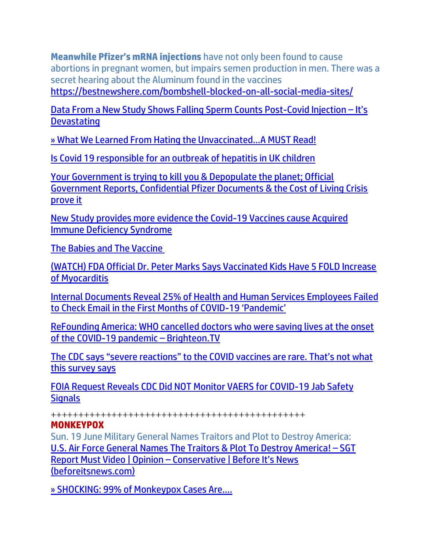**Meanwhile Pfizer's mRNA injections** have not only been found to cause abortions in pregnant women, but impairs semen production in men. There was a secret hearing about the Aluminum found in the vaccines <https://bestnewshere.com/bombshell-blocked-on-all-social-media-sites/>

[Data From a New Study Shows Falling Sperm Counts Post-Covid Injection](https://expose-news.com/2022/06/21/new-study-shows-falling-sperm-counts-post-injection/) – It's **[Devastating](https://expose-news.com/2022/06/21/new-study-shows-falling-sperm-counts-post-injection/)** 

[» What We Learned From Hating the Unvaccinated…A MUST Read!](https://trk.cp20.com/click/gak4-3ni1nt-8bpthn-f4obzxf2/)

[Is Covid 19 responsible for an outbreak of hepatitis in UK children](https://www.dailymail.co.uk/health/article-10930105/Is-Covid-19-responsible-outbreak-hepatitis-UK-children.html)

[Your Government is trying to kill you & Depopulate the planet; Official](https://expose-news.com/2022/06/19/gov-pfizer-cost-living-prove-depopulation-plan/)  [Government Reports, Confidential Pfizer Documents & the Cost of Living Crisis](https://expose-news.com/2022/06/19/gov-pfizer-cost-living-prove-depopulation-plan/)  [prove it](https://expose-news.com/2022/06/19/gov-pfizer-cost-living-prove-depopulation-plan/)

[New Study provides more evidence the Covid-19 Vaccines cause Acquired](https://expose-news.com/2022/06/18/new-study-proves-covid-vaccines-cause-a-id-s/)  [Immune Deficiency Syndrome](https://expose-news.com/2022/06/18/new-study-proves-covid-vaccines-cause-a-id-s/)

[The Babies and The Vaccine](https://blog.nomorefakenews.com/2022/06/16/the-babies-and-the-vaccine/)

[\(WATCH\) FDA Official Dr. Peter Marks Says Vaccinated Kids Have 5 FOLD Increase](https://welovetrump.com/2022/06/17/watch-fda-official-dr-peter-marks-says-vaccinated-kids-have-5-fold-increase-of-myocarditis/)  [of Myocarditis](https://welovetrump.com/2022/06/17/watch-fda-official-dr-peter-marks-says-vaccinated-kids-have-5-fold-increase-of-myocarditis/)

[Internal Documents Reveal 25% of Health and Human Services Employees Failed](https://welovetrump.com/2022/06/17/internal-documents-reveal-25-of-health-and-human-services-employees-failed-to-check-email-in-the-first-months-of-covid-19-pandemic/)  [to Check Email in the First Months of COVID-](https://welovetrump.com/2022/06/17/internal-documents-reveal-25-of-health-and-human-services-employees-failed-to-check-email-in-the-first-months-of-covid-19-pandemic/)19 'Pandemic'

[ReFounding America: WHO cancelled doctors who were saving lives at the onset](https://www.naturalnews.com/2022-06-20-who-cancelled-doctors-saving-lives-covid-pandemic.html)  [of the COVID-19 pandemic](https://www.naturalnews.com/2022-06-20-who-cancelled-doctors-saving-lives-covid-pandemic.html) – Brighteon.TV

[The CDC says "severe reactions" to the COVID vaccines are rare. That's not what](https://www.naturalnews.com/2022-06-21-cdc-says-covid-vaccines-severe-reactions-are-rare.html)  [this survey says](https://www.naturalnews.com/2022-06-21-cdc-says-covid-vaccines-severe-reactions-are-rare.html)

[FOIA Request Reveals CDC Did NOT Monitor VAERS for COVID-19 Jab Safety](https://welovetrump.com/2022/06/21/foia-request-reveals-cdc-did-not-monitor-vaers-for-covid-19-jab-safety-signals/)  **[Signals](https://welovetrump.com/2022/06/21/foia-request-reveals-cdc-did-not-monitor-vaers-for-covid-19-jab-safety-signals/)** 

++++++++++++++++++++++++++++++++++++++++++++++

#### **MONKEYPOX**

Sun. 19 June Military General Names Traitors and Plot to Destroy America: [U.S. Air Force General Names The Traitors & Plot To Destroy America!](https://beforeitsnews.com/opinion-conservative/2022/06/u-s-air-force-general-names-the-traitors-plot-to-destroy-america-sgt-report-must-video-3633025.html) – SGT Report Must Video | Opinion – [Conservative | Before It's News](https://beforeitsnews.com/opinion-conservative/2022/06/u-s-air-force-general-names-the-traitors-plot-to-destroy-america-sgt-report-must-video-3633025.html)  [\(beforeitsnews.com\)](https://beforeitsnews.com/opinion-conservative/2022/06/u-s-air-force-general-names-the-traitors-plot-to-destroy-america-sgt-report-must-video-3633025.html)

[» SHOCKING: 99% of Monkeypox Cases Are….](https://trk.cp20.com/click/gak4-3nglco-8bpd9f-f4obzxf2/)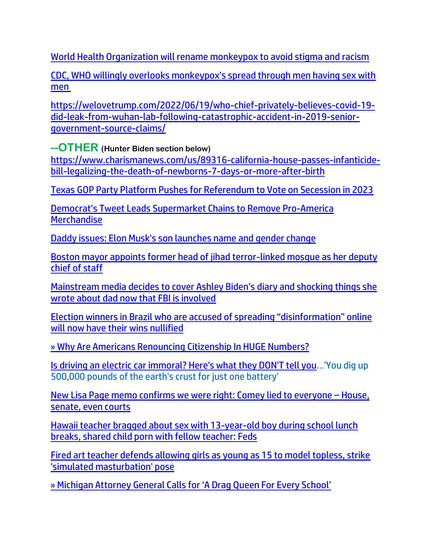[World Health Organization will rename monkeypox to avoid stigma and racism](https://link.theblaze.com/click/28060472.1055670/aHR0cHM6Ly93d3cudGhlYmxhemUuY29tL25ld3Mvd29ybGQtaGVhbHRoLW9yZ2FuaXphdGlvbi13aWxsLXJlbmFtZS1tb25rZXlwb3gtdG8tYXZvaWQtc3RpZ21hLWFuZC1yYWNpc20_dXRtX3NvdXJjZT10aGVibGF6ZS1kYWlseUFNJnV0bV9tZWRpdW09ZW1haWwmdXRtX2NhbXBhaWduPURhaWx5LU5ld3NsZXR0ZXJfX0FNIDIwMjItMDYtMTUmdXRtX3Rlcm09QUNUSVZFIExJU1QgLSBUaGVCbGF6ZSBEYWlseSBBTQ/61f82015384ca325d2cdab60C1353b82e)

[CDC, WHO willingly overlooks monkeypox's spread through men having sex with](https://www.lifesitenews.com/blogs/cdc-who-willingly-overlooks-monkeypoxs-spread-through-men-having-sex-with-men/?utm_source=top_news&utm_campaign=usa)  [men](https://www.lifesitenews.com/blogs/cdc-who-willingly-overlooks-monkeypoxs-spread-through-men-having-sex-with-men/?utm_source=top_news&utm_campaign=usa)

[https://welovetrump.com/2022/06/19/who-chief-privately-believes-covid-19](https://welovetrump.com/2022/06/19/who-chief-privately-believes-covid-19-did-leak-from-wuhan-lab-following-catastrophic-accident-in-2019-senior-government-source-claims/) [did-leak-from-wuhan-lab-following-catastrophic-accident-in-2019-senior](https://welovetrump.com/2022/06/19/who-chief-privately-believes-covid-19-did-leak-from-wuhan-lab-following-catastrophic-accident-in-2019-senior-government-source-claims/)[government-source-claims/](https://welovetrump.com/2022/06/19/who-chief-privately-believes-covid-19-did-leak-from-wuhan-lab-following-catastrophic-accident-in-2019-senior-government-source-claims/)

**--OTHER (Hunter Biden section below)**

[https://www.charismanews.com/us/89316-california-house-passes-infanticide](https://www.charismanews.com/us/89316-california-house-passes-infanticide-bill-legalizing-the-death-of-newborns-7-days-or-more-after-birth)[bill-legalizing-the-death-of-newborns-7-days-or-more-after-birth](https://www.charismanews.com/us/89316-california-house-passes-infanticide-bill-legalizing-the-death-of-newborns-7-days-or-more-after-birth)

[Texas GOP Party Platform Pushes for Referendum to Vote on Secession in 2023](https://welovetrump.com/2022/06/21/texas-gop-party-platform-pushes-for-referendum-to-vote-on-secession-in-2023/)

[Democrat's Tweet Leads Supermarket Chains to Remove Pro](https://welovetrump.com/2022/06/21/democrats-tweet-leads-supermarket-chains-to-remove-pro-america-merchandise/)-America **[Merchandise](https://welovetrump.com/2022/06/21/democrats-tweet-leads-supermarket-chains-to-remove-pro-america-merchandise/)** 

[Daddy issues: Elon Musk's son launches name and gender change](https://www.wnd.com/2022/06/elon-musks-son-launches-name-gender-change/)

[Boston mayor appoints former head of jihad terror-linked mosque as her deputy](https://ratherexposethem.org/2022/06/21/boston-mayor-appoints-former-head-of-jihad-terror-linked-mosque-as-her-deputy-chief-of-staff/)  [chief of staff](https://ratherexposethem.org/2022/06/21/boston-mayor-appoints-former-head-of-jihad-terror-linked-mosque-as-her-deputy-chief-of-staff/)

Main[stream media decides to cover Ashley Biden's diary and shocking things she](https://www.naturalnews.com/2022-06-20-mainstream-media-decides-to-cover-ashley-bidens-diary-now-that-fbi-involved.html)  [wrote about dad now that FBI is involved](https://www.naturalnews.com/2022-06-20-mainstream-media-decides-to-cover-ashley-bidens-diary-now-that-fbi-involved.html)

Election winners in Brazil [who are accused of spreading "disinformation" online](https://www.naturalnews.com/2022-06-20-election-winners-brazil-disinformation-wins-nullified.html)  [will now have their wins nullified](https://www.naturalnews.com/2022-06-20-election-winners-brazil-disinformation-wins-nullified.html)

[» Why Are Americans Renouncing Citizenship In HUGE Numbers?](https://trk.cp20.com/click/gak4-3ni6ja-8bpubn-f4obzxf9/)

[Is driving an electric car immoral? Here's what they DON'T tell you](https://www.wnd.com/2022/06/driving-electric-car-immoral/)…['You dig up](https://www.wnd.com/2022/06/driving-electric-car-immoral/)  [500,000 pounds of the earth's crust for just one battery'](https://www.wnd.com/2022/06/driving-electric-car-immoral/)

[New Lisa Page memo confirms we were right: Comey lied to everyone](https://www.naturalnews.com/2022-06-18-page-memo-confirms-we-were-right.html) – House, [senate, even courts](https://www.naturalnews.com/2022-06-18-page-memo-confirms-we-were-right.html)

[Hawaii teacher bragged about sex with 13-year-old boy during school lunch](https://link.theblaze.com/click/28107166.1033628/aHR0cHM6Ly93d3cudGhlYmxhemUuY29tL25ld3MvaGF3YWlpLXRlYWNoZXItY2hpbGQtcG9ybi1zZXgtc3R1ZGVudD91dG1fc291cmNlPXRoZWJsYXplLWRhaWx5UE0mdXRtX21lZGl1bT1lbWFpbCZ1dG1fY2FtcGFpZ249RGFpbHktTmV3c2xldHRlcl9fUE0gMjAyMi0wNi0xOCZ1dG1fdGVybT1BQ1RJVkUgTElTVCAtIFRoZUJsYXplIERhaWx5IFBN/61f82015384ca325d2cdab60C84342795)  [breaks, shared child porn with fellow teacher: Feds](https://link.theblaze.com/click/28107166.1033628/aHR0cHM6Ly93d3cudGhlYmxhemUuY29tL25ld3MvaGF3YWlpLXRlYWNoZXItY2hpbGQtcG9ybi1zZXgtc3R1ZGVudD91dG1fc291cmNlPXRoZWJsYXplLWRhaWx5UE0mdXRtX21lZGl1bT1lbWFpbCZ1dG1fY2FtcGFpZ249RGFpbHktTmV3c2xldHRlcl9fUE0gMjAyMi0wNi0xOCZ1dG1fdGVybT1BQ1RJVkUgTElTVCAtIFRoZUJsYXplIERhaWx5IFBN/61f82015384ca325d2cdab60C84342795)

[Fired art teacher defends allowing girls as young as 15 to model topless, strike](https://link.theblaze.com/click/28110814.1128418/aHR0cHM6Ly93d3cudGhlYmxhemUuY29tL25ld3MvYXJ0LXRlYWNoZXItZmlyZWQtdG9wbGVzcy1naXJscz91dG1fc291cmNlPXRoZWJsYXplLWJyZWFraW5nJnV0bV9tZWRpdW09ZW1haWwmdXRtX2NhbXBhaWduPU5ldy1UcmVuZGluZy1TdG9yeV9XRUVLRU5EIDIwMjItMDYtMTkmdXRtX3Rlcm09QUNUSVZFIExJU1QgLSBUaGVCbGF6ZSBCcmVha2luZyBOZXdz/61f82015384ca325d2cdab60Ce57cee1c)  ['simulated masturbation' pose](https://link.theblaze.com/click/28110814.1128418/aHR0cHM6Ly93d3cudGhlYmxhemUuY29tL25ld3MvYXJ0LXRlYWNoZXItZmlyZWQtdG9wbGVzcy1naXJscz91dG1fc291cmNlPXRoZWJsYXplLWJyZWFraW5nJnV0bV9tZWRpdW09ZW1haWwmdXRtX2NhbXBhaWduPU5ldy1UcmVuZGluZy1TdG9yeV9XRUVLRU5EIDIwMjItMDYtMTkmdXRtX3Rlcm09QUNUSVZFIExJU1QgLSBUaGVCbGF6ZSBCcmVha2luZyBOZXdz/61f82015384ca325d2cdab60Ce57cee1c)

» Mi[chigan Attorney General Calls for 'A Drag Queen For Every School'](https://trk.cp20.com/click/gak4-3ni1nt-8bpthk-f4obzxf9/)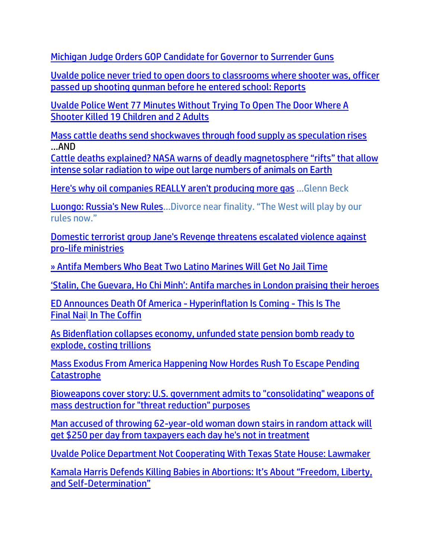[Michigan Judge Orders GOP Candidate for Governor to Surrender Guns](https://lists.youmaker.com/links/ONZpJvyrGA/Jlid8tcrj/7xAbPNiP2/GpphbQEvzv)

[Uvalde police never tried to open doors to classrooms where shooter was, officer](https://link.theblaze.com/click/28108772.1037502/aHR0cHM6Ly93d3cudGhlYmxhemUuY29tL25ld3MvdXZhbGRlLXBvbGljZS1zaG9vdGluZy1zaG9vdGVyLWRvb3JzP3V0bV9zb3VyY2U9dGhlYmxhemUtZGFpbHlBTSZ1dG1fbWVkaXVtPWVtYWlsJnV0bV9jYW1wYWlnbj1EYWlseS1OZXdzbGV0dGVyX19BTSAyMDIyLTA2LTE5JnV0bV90ZXJtPUFDVElWRSBMSVNUIC0gVGhlQmxhemUgRGFpbHkgQU0/61f82015384ca325d2cdab60C5969f4da)  [passed up shooting gunman before he entered school: Reports](https://link.theblaze.com/click/28108772.1037502/aHR0cHM6Ly93d3cudGhlYmxhemUuY29tL25ld3MvdXZhbGRlLXBvbGljZS1zaG9vdGluZy1zaG9vdGVyLWRvb3JzP3V0bV9zb3VyY2U9dGhlYmxhemUtZGFpbHlBTSZ1dG1fbWVkaXVtPWVtYWlsJnV0bV9jYW1wYWlnbj1EYWlseS1OZXdzbGV0dGVyX19BTSAyMDIyLTA2LTE5JnV0bV90ZXJtPUFDVElWRSBMSVNUIC0gVGhlQmxhemUgRGFpbHkgQU0/61f82015384ca325d2cdab60C5969f4da)

[Uvalde Police Went 77 Minutes Without Trying To Open The Door Where A](https://www.thegatewaypundit.com/2022/06/uvalde-police-went-77-minutes-without-trying-open-door-shooter-killed-19-children-2-adults/?utm_source=Gab&utm_campaign=websitesharingbuttons)  [Shooter Killed 19 Children and 2 Adults](https://www.thegatewaypundit.com/2022/06/uvalde-police-went-77-minutes-without-trying-open-door-shooter-killed-19-children-2-adults/?utm_source=Gab&utm_campaign=websitesharingbuttons)

[Mass cattle deaths send shockwaves through food supply as speculation rises](https://ce-publicdy.naturalnews.com/ct.asp?id=5262773D62EA2F6E1F7ABAFF54D028FA6E518988B6B85116F738271CB47003FD5DEFE5FC2DCC2943D71393024DE5B76C&ct=4aeUs2EAAABCWmgzMUFZJlNZP%2bV4TAAAGRmAAAPxEC%2fP36AgAEiKZqPSPIanqB6h6GN6mTIJ6gyaGTQvKqI2CTxF%2b7JUJTuCmdLshuzzF2SHoX8ZkoJLZ%2b%2bWmXC%2bmuGi0cKzpwpodQUASI4ChvTKjzn8XckU4UJA%2f5XhMA%3d%3d) …AN[D](https://ce-publicdy.naturalnews.com/ct.asp?id=1656944CA8F1FFFE96EFFCA3DB8402813C46E1F6EF9D04857391B3856C81282A101B9BD983472FBA784887571A285EDE&ct=4aeUsz4AAABCWmgzMUFZJlNZDF8b7QAAF5mAAAPv8Bvj3IAgAEEU9T0R4po009T0htQo0NAAAASJzF63XjUW2sCg1J1HJMH3YzpMpCyypDq%2fvixgM%2bkOIIcA%2f4u5IpwoSAYvjfaA)

[Cattle deaths explained? NASA warns of deadly magnetosphere "rifts" that allow](https://ce-publicdy.naturalnews.com/ct.asp?id=1656944CA8F1FFFE96EFFCA3DB8402813C46E1F6EF9D04857391B3856C81282A101B9BD983472FBA784887571A285EDE&ct=4aeUsz4AAABCWmgzMUFZJlNZDF8b7QAAF5mAAAPv8Bvj3IAgAEEU9T0R4po009T0htQo0NAAAASJzF63XjUW2sCg1J1HJMH3YzpMpCyypDq%2fvixgM%2bkOIIcA%2f4u5IpwoSAYvjfaA)  [intense solar radiation to wipe out large numbers of animals on Earth](https://www.naturalnews.com/2022-06-17-cattle-deaths-explained-nasa-warns-of-deadly-magnetic-rifts-solar-radiation-earth.html)

[Here's why oil companies REALLY aren't producing more gas](https://link.theblaze.com/click/28088041.1065661/aHR0cHM6Ly93d3cudGhlYmxhemUuY29tL3Nob3dzL3RoZS1nbGVubi1iZWNrLXByb2dyYW0vYmlkZW4tYmxhbWVzLWhpZ2gtcHJpY2VzLWdhcy1jb21wYW5pZXM_dXRtX3NvdXJjZT10aGVibGF6ZS1kYWlseUFNJnV0bV9tZWRpdW09ZW1haWwmdXRtX2NhbXBhaWduPURhaWx5LU5ld3NsZXR0ZXJfX0FNIDIwMjItMDYtMTcmdXRtX3Rlcm09QUNUSVZFIExJU1QgLSBUaGVCbGF6ZSBEYWlseSBBTQ/61f82015384ca325d2cdab60Cac5178a3) …Glenn Beck

[Luongo: Russia's New Rules](https://www.zerohedge.com/geopolitical/luongo-russias-new-rules)…Divorce near finality. "The West will play by our rules now."

[Domestic terrorist group Jane's Revenge threatens escalated violence against](https://link.theblaze.com/click/28085999.947880/aHR0cHM6Ly93d3cudGhlYmxhemUuY29tL25ld3MvZG9tZXN0aWMtdGVycm9yaXN0LWdyb3VwLWphbmUtcy1yZXZlbmdlLXRocmVhdGVucy1lc2NhbGF0ZWQtdmlvbGVuY2UtYWdhaW5zdC1wcm8tbGlmZS1taW5pc3RyaWVzP3V0bV9zb3VyY2U9dGhlYmxhemUtN0RheVRyZW5kaW5nVGVzdCZ1dG1fbWVkaXVtPWVtYWlsJnV0bV9jYW1wYWlnbj1UaGUgQmxhemUgUE0gVHJlbmRpbmcgMjAyMi0wNi0xNiZ1dG1fdGVybT1BQ1RJVkUgTElTVCAtIDcgRGF5IEVuZ2FnZW1lbnQ/61f82015384ca325d2cdab60Caae4ef3d)  [pro-life ministries](https://link.theblaze.com/click/28085999.947880/aHR0cHM6Ly93d3cudGhlYmxhemUuY29tL25ld3MvZG9tZXN0aWMtdGVycm9yaXN0LWdyb3VwLWphbmUtcy1yZXZlbmdlLXRocmVhdGVucy1lc2NhbGF0ZWQtdmlvbGVuY2UtYWdhaW5zdC1wcm8tbGlmZS1taW5pc3RyaWVzP3V0bV9zb3VyY2U9dGhlYmxhemUtN0RheVRyZW5kaW5nVGVzdCZ1dG1fbWVkaXVtPWVtYWlsJnV0bV9jYW1wYWlnbj1UaGUgQmxhemUgUE0gVHJlbmRpbmcgMjAyMi0wNi0xNiZ1dG1fdGVybT1BQ1RJVkUgTElTVCAtIDcgRGF5IEVuZ2FnZW1lbnQ/61f82015384ca325d2cdab60Caae4ef3d)

[» Antifa Members Who Beat Two Latino Marines Will Get No Jail Time](https://trk.cp20.com/click/gak4-3nhqf0-8bpqfq-f4obzxf7/)

['Stalin, Che Guevara, Ho Chi Minh': Antifa marches in London praising their heroes](https://www.naturalnews.com/2022-06-20-antifa-marches-in-london-praising-their-heroes.html)

ED Announces Death Of America - [Hyperinflation Is Coming](https://ce-publicdy.naturalnews.com/ct.asp?id=B15FCA5024BE919DFE317AB13325799D585E12B624C315E6F9F9FC4EB4C6ABACF5D7CD51074EE20E5810134F9ABF3A66&ct=4aeUsz4AAABCWmgzMUFZJlNZiS9v8gAAF5mAAAO%2f8D%2fj3IAgAFREJgAJgJk9DG1DR6amnlPTU00NqSUgex2FKIBYGeSs3HQFFpc6BcRjRqwzrB0X3wHuGbroI%2bFENdF3JFOFCQiS9v8g) - This Is The [Final](https://ce-publicdy.naturalnews.com/ct.asp?id=B15FCA5024BE919DFE317AB13325799D585E12B624C315E6F9F9FC4EB4C6ABACF5D7CD51074EE20E5810134F9ABF3A66&ct=4aeUsz4AAABCWmgzMUFZJlNZiS9v8gAAF5mAAAO%2f8D%2fj3IAgAFREJgAJgJk9DG1DR6amnlPTU00NqSUgex2FKIBYGeSs3HQFFpc6BcRjRqwzrB0X3wHuGbroI%2bFENdF3JFOFCQiS9v8g) Nail [In The Coffin](https://ce-publicdy.naturalnews.com/ct.asp?id=B15FCA5024BE919DFE317AB13325799D585E12B624C315E6F9F9FC4EB4C6ABACF5D7CD51074EE20E5810134F9ABF3A66&ct=4aeUsz4AAABCWmgzMUFZJlNZiS9v8gAAF5mAAAO%2f8D%2fj3IAgAFREJgAJgJk9DG1DR6amnlPTU00NqSUgex2FKIBYGeSs3HQFFpc6BcRjRqwzrB0X3wHuGbroI%2bFENdF3JFOFCQiS9v8g)

[As Bidenflation collapses economy, unfunded state pension bomb ready to](https://ce-publicdy.naturalnews.com/ct.asp?id=27B489FC63B31FD60F7F10DA3FAC5DC43A1242A068EE794DDCE95B5E308430D70C65F3D1A8DA4226B324FEF195FC6897&ct=4aeUs3YAAABCWmgzMUFZJlNZSoQiFgAAHRmAAAP1ED%2fn3uAgAGg1T0jTT1B6nkgPU0wap4hojJpkNDRpGUuR72qLUfYfs6puCg0yQ30BGd3EQrP0c6HAU2vBpB0dbLml9pxINLL6FDQ2P9GkqhJ4XdChIP8aygcMMedUVS7O3H4u5IpwoSCVCEQs)  [explode, costing trillions](https://ce-publicdy.naturalnews.com/ct.asp?id=27B489FC63B31FD60F7F10DA3FAC5DC43A1242A068EE794DDCE95B5E308430D70C65F3D1A8DA4226B324FEF195FC6897&ct=4aeUs3YAAABCWmgzMUFZJlNZSoQiFgAAHRmAAAP1ED%2fn3uAgAGg1T0jTT1B6nkgPU0wap4hojJpkNDRpGUuR72qLUfYfs6puCg0yQ30BGd3EQrP0c6HAU2vBpB0dbLml9pxINLL6FDQ2P9GkqhJ4XdChIP8aygcMMedUVS7O3H4u5IpwoSCVCEQs)

[Mass Exodus From America Happening Now Hordes Rush To Escape Pending](https://ce-publicdy.naturalnews.com/ct.asp?id=B377D41A1726476DB57168D8EBD6D3E73FE1C73BA6343FBD261AD0993B309DDABE7E0CCFE5BCB5BEB411F1EF7AE7DA64&ct=4aeUsz4AAABCWmgzMUFZJlNZpfWW6gAAF5mAAAP%2f8D%2fj3IAgAEip6gabKZP1RptRobUKmmAATABPTOSQaoqb%2bRAo8AhsszKaOR542U3ZUoWEgrde%2bBrCfxKgAgwE7ou5IpwoSFL6y3UA)  [Catastrophe](https://ce-publicdy.naturalnews.com/ct.asp?id=B377D41A1726476DB57168D8EBD6D3E73FE1C73BA6343FBD261AD0993B309DDABE7E0CCFE5BCB5BEB411F1EF7AE7DA64&ct=4aeUsz4AAABCWmgzMUFZJlNZpfWW6gAAF5mAAAP%2f8D%2fj3IAgAEip6gabKZP1RptRobUKmmAATABPTOSQaoqb%2bRAo8AhsszKaOR542U3ZUoWEgrde%2bBrCfxKgAgwE7ou5IpwoSFL6y3UA)

[Bioweapons cover story: U.S. government admits to "consolidating" weapons of](https://ce-publiclw.naturalnews.com/ct.asp?id=443D5E3DEA48D178C5B7DE87E2FEBECF1EE163FA8B3307B0708C7CAA5F8D6E6E4D06FD31D9011D2040E5648736FBA642&ct=4aeUs2MAAABCWmgzMUFZJlNZ6vZCNQAAFxmAAAP5EC7n34AgAFCmjQBoAAIp5CehpoTJphHHnICMKM94uJRQBJZjJ0bWq3eLqewLl7g2Ek0BA8Nhh9HNOcWLXThm%2fdPHtsvKVEzWDJIiknc0KJffi7kinChIdXshGoA%3d)  [mass destruction for "threat reduction" purposes](https://ce-publiclw.naturalnews.com/ct.asp?id=443D5E3DEA48D178C5B7DE87E2FEBECF1EE163FA8B3307B0708C7CAA5F8D6E6E4D06FD31D9011D2040E5648736FBA642&ct=4aeUs2MAAABCWmgzMUFZJlNZ6vZCNQAAFxmAAAP5EC7n34AgAFCmjQBoAAIp5CehpoTJphHHnICMKM94uJRQBJZjJ0bWq3eLqewLl7g2Ek0BA8Nhh9HNOcWLXThm%2fdPHtsvKVEzWDJIiknc0KJffi7kinChIdXshGoA%3d)

[Man accused of throwing 62-year-old woman down stairs in random attack will](https://link.theblaze.com/click/28067975.1149573/aHR0cHM6Ly93d3cudGhlYmxhemUuY29tL25ld3MvYXR0YWNrZXItZ2V0cy0yNTAtZG9sbGFycy1kYWlseT91dG1fc291cmNlPXRoZWJsYXplLWJyZWFraW5nJnV0bV9tZWRpdW09ZW1haWwmdXRtX2NhbXBhaWduPTIwMjIwNjE1VHJlbmRpbmctTWFuV29tYW5Nb25leSZ1dG1fdGVybT1BQ1RJVkUgTElTVCAtIFRoZUJsYXplIEJyZWFraW5nIE5ld3M/61f82015384ca325d2cdab60C97de263a)  [get \\$250 per day from taxpayers each day he's not in treatment](https://link.theblaze.com/click/28067975.1149573/aHR0cHM6Ly93d3cudGhlYmxhemUuY29tL25ld3MvYXR0YWNrZXItZ2V0cy0yNTAtZG9sbGFycy1kYWlseT91dG1fc291cmNlPXRoZWJsYXplLWJyZWFraW5nJnV0bV9tZWRpdW09ZW1haWwmdXRtX2NhbXBhaWduPTIwMjIwNjE1VHJlbmRpbmctTWFuV29tYW5Nb25leSZ1dG1fdGVybT1BQ1RJVkUgTElTVCAtIFRoZUJsYXplIEJyZWFraW5nIE5ld3M/61f82015384ca325d2cdab60C97de263a)

[Uvalde Police Department Not Cooperating With Texas State House: Lawmaker](https://lists.youmaker.com/links/Ydrfg7nXqM/Jlid8tcrj/7xAbPNiP2/gwVQtJbJtC)

[Kamala Harris Defends Killing Babies in Abortions: It's About "Freedom, Liberty,](https://ratherexposethem.org/2022/06/15/kamala-harris-defends-killing-babies-in-abortions-its-about-freedom-liberty-and-self-determination/)  and Self-[Determination"](https://ratherexposethem.org/2022/06/15/kamala-harris-defends-killing-babies-in-abortions-its-about-freedom-liberty-and-self-determination/)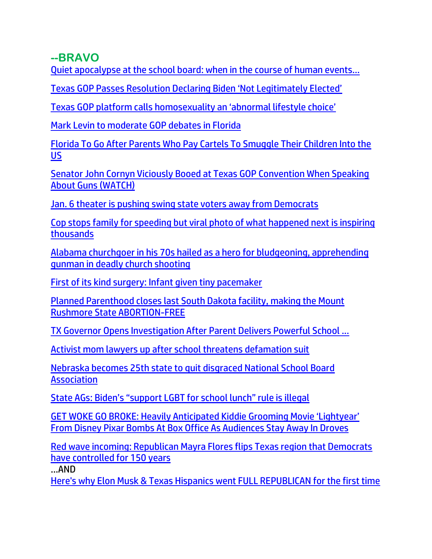#### **--BRAVO**

[Quiet apocalypse at the school board: when in the course of human events…](https://canadafreepress.com/article/quiet-apocalypse-at-the-school-board-when-in-the-course-of-human-events-2)

[Texas GOP Passes Resolution Declaring Biden 'Not Legitimately Elected'](https://lists.youmaker.com/links/ONZpJvyrGA/Jlid8tcrj/7xAbPNiP2/ihftzftGvO)

[Texas GOP platform calls homosexuality an 'abnormal lifestyle choice'](https://www.lifesitenews.com/news/texas-gop-platform-calls-homosexuality-an-abnormal-lifestyle-choice/?utm_source=featured&utm_campaign=usa)

[Mark Levin to moderate GOP debates in Florida](https://link.theblaze.com/click/28128473.919930/aHR0cHM6Ly93d3cudGhlYmxhemUuY29tL25ld3MvLTI2NTc1MzkzMzY_dXRtX3NvdXJjZT10aGVibGF6ZS03RGF5VHJlbmRpbmdUZXN0JnV0bV9tZWRpdW09ZW1haWwmdXRtX2NhbXBhaWduPUFmdGVybm9vbiBBdXRvIFRyZW5kaW5nIDcgRGF5IEVuZ2FnZWQgMjAyMi0wNi0yMSZ1dG1fdGVybT1BQ1RJVkUgTElTVCAtIDcgRGF5IEVuZ2FnZW1lbnQ/61f82015384ca325d2cdab60Ca5f7eb72)

[Florida To Go After Parents Who Pay Cartels To Smuggle Their Children Into the](https://www.zerohedge.com/political/florida-go-after-parents-who-pay-cartels-smuggle-their-children-us)  [US](https://www.zerohedge.com/political/florida-go-after-parents-who-pay-cartels-smuggle-their-children-us)

[Senator John Cornyn Viciously Booed at Texas GOP Convention When Speaking](https://welovetrump.com/2022/06/17/senator-john-cornyn-viciously-booed-at-texas-gop-convention-when-speaking-about-guns-watch/)  [About Guns \(WATCH\)](https://welovetrump.com/2022/06/17/senator-john-cornyn-viciously-booed-at-texas-gop-convention-when-speaking-about-guns-watch/)

[Jan. 6 theater is pushing swing state voters away from Democrats](https://www.wnd.com/2022/06/jan-6-theater-pushing-swing-state-voters-away-democrats/)

[Cop stops family for speeding but viral photo of what happened next is inspiring](https://www.wnd.com/2022/06/cop-stops-family-speeding-viral-photo-happened-next-inspiring-thousands/)  [thousands](https://www.wnd.com/2022/06/cop-stops-family-speeding-viral-photo-happened-next-inspiring-thousands/)

[Alabama churchgoer in his 70s hailed as a hero for bludgeoning, apprehending](https://link.theblaze.com/click/28106089.910584/aHR0cHM6Ly93d3cudGhlYmxhemUuY29tL25ld3MvYWxhYmFtYS1jaHVyY2gtc2hvb3RpbmctaGVybz91dG1fc291cmNlPXRoZWJsYXplLTdEYXlUcmVuZGluZ1Rlc3QmdXRtX21lZGl1bT1lbWFpbCZ1dG1fY2FtcGFpZ249QWZ0ZXJub29uIEF1dG8gVHJlbmRpbmcgNyBEYXkgRW5nYWdlZCAyMDIyLTA2LTE4JnV0bV90ZXJtPUFDVElWRSBMSVNUIC0gNyBEYXkgRW5nYWdlbWVudA/61f82015384ca325d2cdab60C91ca84e7)  [gunman in deadly church shooting](https://link.theblaze.com/click/28106089.910584/aHR0cHM6Ly93d3cudGhlYmxhemUuY29tL25ld3MvYWxhYmFtYS1jaHVyY2gtc2hvb3RpbmctaGVybz91dG1fc291cmNlPXRoZWJsYXplLTdEYXlUcmVuZGluZ1Rlc3QmdXRtX21lZGl1bT1lbWFpbCZ1dG1fY2FtcGFpZ249QWZ0ZXJub29uIEF1dG8gVHJlbmRpbmcgNyBEYXkgRW5nYWdlZCAyMDIyLTA2LTE4JnV0bV90ZXJtPUFDVElWRSBMSVNUIC0gNyBEYXkgRW5nYWdlbWVudA/61f82015384ca325d2cdab60C91ca84e7)

[First of its kind surgery: Infant given tiny pacemaker](https://www.wnd.com/2022/06/first-kind-surgery-infant-given-tiny-pacemaker/)

[Planned Parenthood closes last South Dakota facility, making the Mount](https://www.naturalnews.com/2022-06-18-planned-parenthood-closes-south-dakota-abortion-facility.html)  [Rushmore State ABORTION-FREE](https://www.naturalnews.com/2022-06-18-planned-parenthood-closes-south-dakota-abortion-facility.html)

[TX Governor Opens Investigation After Parent Delivers Powerful School ...](https://brandnewtube.com/watch/tx-governor-opens-investigation-after-parent-delivers-powerful-school-board-speech_OgLNUUT3zA9dVDq.html?lang=english)

[Activist mom lawyers up after school threatens defamation suit](https://inform.afa.net/optiext/optiextension.dll?ID=sWXs2wxSv5TtJYOLwcPNa9R223q7KT5LkRLUjWBCrhI6_c2I7o2GJAX01UAROWFMJse%2BfG1F7ferjEMNZAbLVyPmVgfLSapJS%2BRio8sR)

[Nebraska becomes 25th state to quit disgraced National School Board](https://www.lifesitenews.com/news/nebraska-becomes-25th-state-to-quit-disgraced-national-school-board-association/?utm_source=top_news&utm_campaign=usa)  **[Association](https://www.lifesitenews.com/news/nebraska-becomes-25th-state-to-quit-disgraced-national-school-board-association/?utm_source=top_news&utm_campaign=usa)** 

[State AGs: Biden's "support LGBT for school lunch" rule is illegal](https://www.naturalnews.com/2022-06-17-biden-support-lgbt-lunches-funding-illegal-ags.html)

[GET WOKE GO BROKE: Heavily Anticipated Kiddie Grooming Movie 'Lightyear'](https://www.nowtheendbegins.com/woke-disney-pixar-movie-lightyear-is-box-office-flop-same-sex-kiss-child-grooming-predators/)  [From Disney Pixar Bombs At Box Office As Audiences Stay Away In Droves](https://www.nowtheendbegins.com/woke-disney-pixar-movie-lightyear-is-box-office-flop-same-sex-kiss-child-grooming-predators/)

[Red wave incoming: Republican Mayra Flores flips Texas region that Democrats](https://link.theblaze.com/click/28054510.1098306/aHR0cHM6Ly93d3cudGhlYmxhemUuY29tL25ld3MvbWF5cmEtZmxvcmVzLWZsaXBzLXRleGFzLWRpc3RyaWN0P3V0bV9zb3VyY2U9dGhlYmxhemUtYnJlYWtpbmcmdXRtX21lZGl1bT1lbWFpbCZ1dG1fY2FtcGFpZ249MjAyMjA2MTVTcG9uc29yZWRUcmVuZGluZy1SZXZlbGF0aW9uTWVkaWEmdXRtX3Rlcm09QUNUSVZFIExJU1QgLSBUaGVCbGF6ZSBCcmVha2luZyBOZXdz/61f82015384ca325d2cdab60C2b750dd6)  [have controlled for 150 years](https://link.theblaze.com/click/28054510.1098306/aHR0cHM6Ly93d3cudGhlYmxhemUuY29tL25ld3MvbWF5cmEtZmxvcmVzLWZsaXBzLXRleGFzLWRpc3RyaWN0P3V0bV9zb3VyY2U9dGhlYmxhemUtYnJlYWtpbmcmdXRtX21lZGl1bT1lbWFpbCZ1dG1fY2FtcGFpZ249MjAyMjA2MTVTcG9uc29yZWRUcmVuZGluZy1SZXZlbGF0aW9uTWVkaWEmdXRtX3Rlcm09QUNUSVZFIExJU1QgLSBUaGVCbGF6ZSBCcmVha2luZyBOZXdz/61f82015384ca325d2cdab60C2b750dd6)

...AND

[Here's why Elon Musk & Texas Hispanics went FULL REPUBLICAN for the first time](https://link.theblaze.com/click/28054510.1098306/aHR0cHM6Ly93d3cudGhlYmxhemUuY29tL3Nob3dzL2xvdWRlci13aXRoLWNyb3dkZXIvY29weS1lZGl0LWhlcmUtcy13aHktZWxvbi1tdXNrLXRleGFzLWhpc3Bhbmljcy13ZW50LWZ1bGwtcmVwdWJsaWNhbi1mb3ItdGhlLWZpcnN0LXRpbWU_dXRtX3NvdXJjZT10aGVibGF6ZS1icmVha2luZyZ1dG1fbWVkaXVtPWVtYWlsJnV0bV9jYW1wYWlnbj0yMDIyMDYxNVNwb25zb3JlZFRyZW5kaW5nLVJldmVsYXRpb25NZWRpYSZ1dG1fdGVybT1BQ1RJVkUgTElTVCAtIFRoZUJsYXplIEJyZWFraW5nIE5ld3M/61f82015384ca325d2cdab60Cfade2935)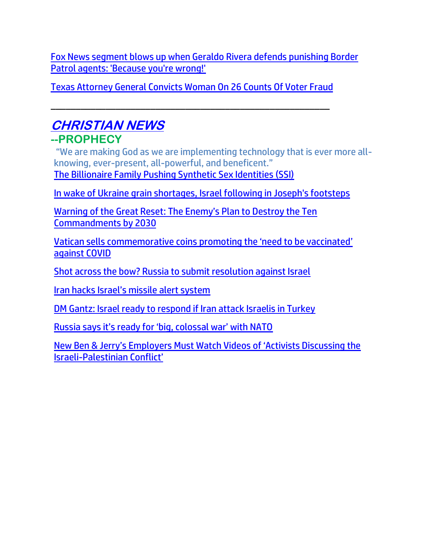[Fox News segment blows up when Geraldo Rivera defends punishing Border](https://link.theblaze.com/click/28068659.1122306/aHR0cHM6Ly93d3cudGhlYmxhemUuY29tL25ld3MvdGhlLWZpdmUtY2hhb3MtYm9yZGVyLXBhdHJvbC1nZXJhbGRvLXJpdmVyYT91dG1fc291cmNlPXRoZWJsYXplLWJyZWFraW5nJnV0bV9tZWRpdW09ZW1haWwmdXRtX2NhbXBhaWduPTIwMjIwNjE2U3BvbnNvcmVkVHJlbmRpbmctUmV2ZWxhdGlvbk1lZGlhJnV0bV90ZXJtPUFDVElWRSBMSVNUIC0gVGhlQmxhemUgQnJlYWtpbmcgTmV3cw/61f82015384ca325d2cdab60C19172af6)  [Patrol agents: 'Because you're wrong!'](https://link.theblaze.com/click/28068659.1122306/aHR0cHM6Ly93d3cudGhlYmxhemUuY29tL25ld3MvdGhlLWZpdmUtY2hhb3MtYm9yZGVyLXBhdHJvbC1nZXJhbGRvLXJpdmVyYT91dG1fc291cmNlPXRoZWJsYXplLWJyZWFraW5nJnV0bV9tZWRpdW09ZW1haWwmdXRtX2NhbXBhaWduPTIwMjIwNjE2U3BvbnNvcmVkVHJlbmRpbmctUmV2ZWxhdGlvbk1lZGlhJnV0bV90ZXJtPUFDVElWRSBMSVNUIC0gVGhlQmxhemUgQnJlYWtpbmcgTmV3cw/61f82015384ca325d2cdab60C19172af6)

[Texas Attorney General Convicts Woman On 26 Counts Of Voter Fraud](https://welovetrump.com/2022/06/18/texas-attorney-general-convicts-woman-on-26-counts-of-voter-fraud/)

\_\_\_\_\_\_\_\_\_\_\_\_\_\_\_\_\_\_\_\_\_\_\_\_\_\_\_\_\_\_\_\_\_\_\_\_\_\_\_\_\_\_\_\_\_\_\_\_\_\_\_\_\_\_\_\_

## **CHRISTIAN NEWS --PROPHECY**

"We are making God as we are implementing technology that is ever more allknowing, ever-present, all-powerful, and beneficent." [The Billionaire Family Pushing Synthetic Sex Identities \(SSI\)](https://www.tabletmag.com/sections/news/articles/billionaire-family-pushing-synthetic-sex-identities-ssi-pritzkers)

[In wake of Ukraine grain shortages, Israel following in Joseph's footsteps](https://www.wnd.com/2022/06/wake-ukraine-grain-shortages-israel-following-josephs-footsteps/)

[Warning of the Great Reset: The Enemy's Plan to Destroy the Ten](https://www.charismanews.com/world/89441-warning-of-the-great-reset-the-enemy-s-plan-to-destroy-the-ten-commandments-by-2030)  [Commandments by 2030](https://www.charismanews.com/world/89441-warning-of-the-great-reset-the-enemy-s-plan-to-destroy-the-ten-commandments-by-2030)

[Vatican sells commemorative coins promoting the 'need to be vaccinated'](https://www.lifesitenews.com/news/vatican-sells-commemorative-coins-promoting-the-need-to-be-vaccinated-against-covid/?utm_source=gab)  [against COVID](https://www.lifesitenews.com/news/vatican-sells-commemorative-coins-promoting-the-need-to-be-vaccinated-against-covid/?utm_source=gab)

[Shot across the bow? Russia to submit resolution against Israel](https://www.israelnationalnews.com/news/355156)

[Iran hacks Israel's missile alert system](https://www.israel365news.com/270506/iran-hacks-israels-missile-alert-system/)

[DM Gantz: Israel ready to respond if Iran attack Israelis in Turkey](https://www.jpost.com/breaking-news/article-709733)

[Russia says it's ready for 'big, colossal war' with NATO](https://americanmilitarynews.com/2022/06/russia-says-its-ready-for-big-colossal-war-with-nato/)

[New Ben & Jerry's Employers Must Watch Videos of 'Activists Discussing the](https://delivery.email.saraacarter.com/GUIDARZE?id=153976=eh4CVwZWCQQBTFBQUgkEBgMAA1VSCF4EWQRWBAADBgsPAwIDBQYCUQ8AA1QCWgcDBgceXlxdAxEKDCRUVABaVBcBXQtPVAYGAgUEBV8PDAYDA1QDBgMaChURFEADThxcXA5bEFYXSR1SXVJbChdGVUVTA1dWQxIHE0sHXFROdG1wJnM0aSAPWlNMRQE=&fl=URZGFkBfHxxDVV9XC1xBRl5XERpdVAMMBksHXFROUFRQAVk=&ext=dD1leUpoYkdjaU9pSklVekkxTmlJc0luUjVjQ0k2SWtwWFZDSjkuZXlKd0lqcGJiblZzYkN4dWRXeHNMQ0pvZEhSd2N6b3ZMM05oY21GaFkyRnlkR1Z5TG1OdmJTOXVaWGN0WW1WdUxXcGxjbko1Y3kxbGJYQnNiM2xsY25NdGJYVnpkQzEzWVhSamFDMTJhV1JsYjNNdGIyWXRZV04wYVhacGMzUnpMV1JwYzJOMWMzTnBibWN0ZEdobExXbHpjbUZsYkdrdGNHRnNaWE4wYVc1cFlXNHRZMjl1Wm14cFkzUXZQM1YwYlY5emIzVnlZMlU5YW1WbGJtY21hbVZ0UFdNMVlUTTROVGN3WXpCaFpHTmpZMlk0WVdJelpHTTVZbUkzTURJek0yWXpJaXh1ZFd4c0xERXNabUZzYzJVc1ptRnNjMlVzSW1Sa05UQTNNekprTFROalptRXRORFZpTnkwNE5URXhMVFpsWlRKaE1EWXdZVGczTXlJc0lqVmlZVEU0WmpJNUxUY3laVGN0TkdVM1pDMDVZVEJoTFdNMlpUUmxNR1prWldNMVl5SXNJamhoWmpVM01EZ3dMVGxqTVRNdE5HSmtNeTFpT0RabUxUQmlNMk0xWkdZNU1XWXhZaUlzSW1oMGRIQnpPaTh2YzJGeVlXRmpZWEowWlhJdVkyOXRMMjVsZHkxaVpXNHRhbVZ5Y25sekxXVnRjR3h2ZVdWeWN5MXRkWE4wTFhkaGRHTm9MWFpwWkdWdmN5MXZaaTFoWTNScGRtbHpkSE10WkdselkzVnpjMmx1WnkxMGFHVXRhWE55WVdWc2FTMXdZV3hsYzNScGJtbGhiaTFqYjI1bWJHbGpkQzhpTENKak4zQXpYekFpTENKbGJXRnBiQ0lzSWtSVElsMHNJbWxoZENJNk1UWTFOVFkwTXpZM05YMC42cWJ0QW1FSDloNF9DRGdydVdCN09USVA3cWYtWmNwY1lwWWZFV3JRYmxR)  [Israeli-Palestinia](https://delivery.email.saraacarter.com/GUIDARZE?id=153976=eh4CVwZWCQQBTFBQUgkEBgMAA1VSCF4EWQRWBAADBgsPAwIDBQYCUQ8AA1QCWgcDBgceXlxdAxEKDCRUVABaVBcBXQtPVAYGAgUEBV8PDAYDA1QDBgMaChURFEADThxcXA5bEFYXSR1SXVJbChdGVUVTA1dWQxIHE0sHXFROdG1wJnM0aSAPWlNMRQE=&fl=URZGFkBfHxxDVV9XC1xBRl5XERpdVAMMBksHXFROUFRQAVk=&ext=dD1leUpoYkdjaU9pSklVekkxTmlJc0luUjVjQ0k2SWtwWFZDSjkuZXlKd0lqcGJiblZzYkN4dWRXeHNMQ0pvZEhSd2N6b3ZMM05oY21GaFkyRnlkR1Z5TG1OdmJTOXVaWGN0WW1WdUxXcGxjbko1Y3kxbGJYQnNiM2xsY25NdGJYVnpkQzEzWVhSamFDMTJhV1JsYjNNdGIyWXRZV04wYVhacGMzUnpMV1JwYzJOMWMzTnBibWN0ZEdobExXbHpjbUZsYkdrdGNHRnNaWE4wYVc1cFlXNHRZMjl1Wm14cFkzUXZQM1YwYlY5emIzVnlZMlU5YW1WbGJtY21hbVZ0UFdNMVlUTTROVGN3WXpCaFpHTmpZMlk0WVdJelpHTTVZbUkzTURJek0yWXpJaXh1ZFd4c0xERXNabUZzYzJVc1ptRnNjMlVzSW1Sa05UQTNNekprTFROalptRXRORFZpTnkwNE5URXhMVFpsWlRKaE1EWXdZVGczTXlJc0lqVmlZVEU0WmpJNUxUY3laVGN0TkdVM1pDMDVZVEJoTFdNMlpUUmxNR1prWldNMVl5SXNJamhoWmpVM01EZ3dMVGxqTVRNdE5HSmtNeTFpT0RabUxUQmlNMk0xWkdZNU1XWXhZaUlzSW1oMGRIQnpPaTh2YzJGeVlXRmpZWEowWlhJdVkyOXRMMjVsZHkxaVpXNHRhbVZ5Y25sekxXVnRjR3h2ZVdWeWN5MXRkWE4wTFhkaGRHTm9MWFpwWkdWdmN5MXZaaTFoWTNScGRtbHpkSE10WkdselkzVnpjMmx1WnkxMGFHVXRhWE55WVdWc2FTMXdZV3hsYzNScGJtbGhiaTFqYjI1bWJHbGpkQzhpTENKak4zQXpYekFpTENKbGJXRnBiQ0lzSWtSVElsMHNJbWxoZENJNk1UWTFOVFkwTXpZM05YMC42cWJ0QW1FSDloNF9DRGdydVdCN09USVA3cWYtWmNwY1lwWWZFV3JRYmxR)n Conflict'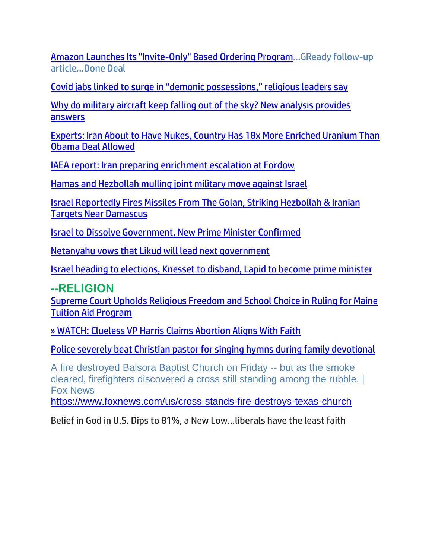[Amazon Launches Its "Invite-Only" Based Ordering Program.](https://www.zerohedge.com/markets/amazon-launches-its-invite-only-based-ordering-program)..GReady follow-up article…Done Deal

[Covid jabs linked to surge in "demonic possessions," religious leaders say](https://www.naturalnews.com/2022-06-18-covid-jabs-linked-to-surge-demonic-possession.html)

[Why do military aircraft keep falling out of the sky? New analysis provides](https://ce-publicdy.naturalnews.com/ct.asp?id=D5A9F314BE58BD1D258F1171AA7025CF1508AF6AED7A100B06B87E74BAC51A0C873CBC9109A026098852E8E32076218F&ct=4aeUs18AAABCWmgzMUFZJlNZUQ2e1QAAF5mAAAPxUC%2fv3qAgAEiKaPU9Q0ZNkTaJ6DHozUymmnqAB6jcsAv9nIaRHjErewiDtZAbMUPAmIrc0ahLty97UnKhK5zhKhmSDgnE0W70W2%2bZ1G9SyY6S61HH4u5IpwoSCiGz2qA%3d)  [answers](https://ce-publicdy.naturalnews.com/ct.asp?id=D5A9F314BE58BD1D258F1171AA7025CF1508AF6AED7A100B06B87E74BAC51A0C873CBC9109A026098852E8E32076218F&ct=4aeUs18AAABCWmgzMUFZJlNZUQ2e1QAAF5mAAAPxUC%2fv3qAgAEiKaPU9Q0ZNkTaJ6DHozUymmnqAB6jcsAv9nIaRHjErewiDtZAbMUPAmIrc0ahLty97UnKhK5zhKhmSDgnE0W70W2%2bZ1G9SyY6S61HH4u5IpwoSCiGz2qA%3d)

[Experts: Iran About to Have Nukes, Country Has 18x More Enriched Uranium Than](https://www.westernjournal.com/experts-iran-nukes-country-18x-enriched-uranium-obama-deal-allowed/)  [Obama Deal Allowed](https://www.westernjournal.com/experts-iran-nukes-country-18x-enriched-uranium-obama-deal-allowed/)

[IAEA report: Iran preparing enrichment escalation at Fordow](https://www.israelnationalnews.com/news/355257)

[Hamas and Hezbollah mulling joint military move against Israel](https://www.israelnationalnews.com/news/355258)

[Israel Reportedly Fires Missiles From The Golan, Striking Hezbollah & Iranian](https://harbingersdaily.com/israel-reportedly-fires-missiles-from-the-golan-striking-hezbollah-iranian-targets-near-damascus/)  [Targets Near Damascus](https://harbingersdaily.com/israel-reportedly-fires-missiles-from-the-golan-striking-hezbollah-iranian-targets-near-damascus/)

[Israel to Dissolve Government, New Prime Minister Confirmed](https://lists.youmaker.com/links/u4OjUaeoAg/Jlid8tcrj/7xAbPNiP2/CQQer5JrMS)

[Netanyahu vows that Likud will lead next government](https://www.jpost.com/israel-elections/article-709919)

[Israel heading to elections, Knesset to disband, Lapid to become prime minister](https://www.jpost.com/breaking-news/article-709909)

#### **--RELIGIO[N](https://lists.youmaker.com/links/9pjLJfTdpo/Jlid8tcrj/7xAbPNiP2/UUKBLs2nHu)**

[Supreme Court Upholds Religious Freedom and School Choice in Ruling for Maine](https://lists.youmaker.com/links/9pjLJfTdpo/Jlid8tcrj/7xAbPNiP2/UUKBLs2nHu)  [Tuition Aid Program](https://welovetrump.com/2022/06/21/supreme-court-upholds-religious-freedom-and-school-choice-in-ruling-for-maine-tuition-aid-program/)

[» WATCH: Clueless VP Harris Claims Abortion Aligns With Faith](https://trk.cp20.com/click/gak4-3nip8q-8bq0vb-f4obzxf3/)

[Police severely beat Christian pastor for singing hymns during family devotional](https://www.wnd.com/2022/06/police-severely-beat-christian-pastor-singing-hymns-family-devotional/)

A fire destroyed Balsora Baptist Church on Friday -- but as the smoke cleared, firefighters discovered a cross still standing among the rubble. | Fox News

<https://www.foxnews.com/us/cross-stands-fire-destroys-texas-church>

Belief in God in U.S. Dips to 81%, a New Low…liberals have the least faith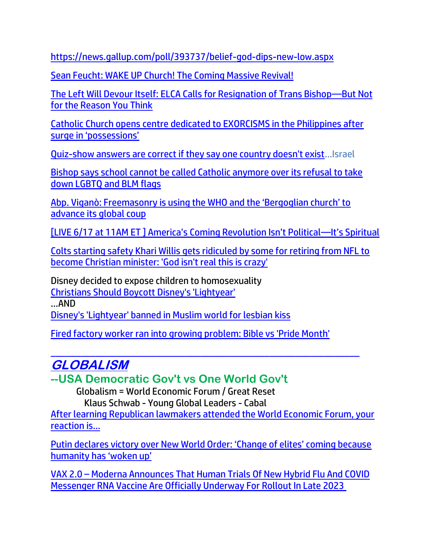<https://news.gallup.com/poll/393737/belief-god-dips-new-low.aspx>

[Sean Feucht: WAKE UP Church! The Coming Massive Revival!](https://welovetrump.com/2022/06/17/sean-feucht-wake-up-church-the-coming-massive-revival/)

[The Left Will Devour Itself: ELCA Calls for Resignation of Trans Bishop](https://ratherexposethem.org/2022/06/17/the-left-will-devour-itself-elca-calls-for-resignation-of-trans-bishop-but-not-for-the-reason-you-think/)—But Not [for the Reason You Think](https://ratherexposethem.org/2022/06/17/the-left-will-devour-itself-elca-calls-for-resignation-of-trans-bishop-but-not-for-the-reason-you-think/)

[Catholic Church opens centre dedicated to EXORCISMS in the Philippines after](https://archive.ph/r9SAV#selection-1053.0-1061.107)  [surge in 'possessions'](https://archive.ph/r9SAV#selection-1053.0-1061.107)

[Quiz-show answers are correct if they say one country doesn't exist](https://www.wnd.com/2022/06/quiz-show-answers-correct-say-one-country-doesnt-exist/)…Israel

[Bishop says school cannot be called Catholic anymore over its refusal to take](https://link.theblaze.com/click/28091680.1156976/aHR0cHM6Ly93d3cudGhlYmxhemUuY29tL25ld3MvY2F0aG9saWMtc2Nob29sLXByaWRlLWJsbS1mbGFncz91dG1fc291cmNlPXRoZWJsYXplLWJyZWFraW5nJnV0bV9tZWRpdW09ZW1haWwmdXRtX2NhbXBhaWduPTIwMjIwNjE3UE1BdXRvVHJlbmRpbmcmdXRtX3Rlcm09QUNUSVZFIExJU1QgLSBUaGVCbGF6ZSBCcmVha2luZyBOZXdz/61f82015384ca325d2cdab60Cc9cadf4d)  [down LGBTQ and BLM flags](https://link.theblaze.com/click/28091680.1156976/aHR0cHM6Ly93d3cudGhlYmxhemUuY29tL25ld3MvY2F0aG9saWMtc2Nob29sLXByaWRlLWJsbS1mbGFncz91dG1fc291cmNlPXRoZWJsYXplLWJyZWFraW5nJnV0bV9tZWRpdW09ZW1haWwmdXRtX2NhbXBhaWduPTIwMjIwNjE3UE1BdXRvVHJlbmRpbmcmdXRtX3Rlcm09QUNUSVZFIExJU1QgLSBUaGVCbGF6ZSBCcmVha2luZyBOZXdz/61f82015384ca325d2cdab60Cc9cadf4d)

[Abp. Viganò: Freemasonry is using the WHO and the 'Bergoglian church' to](https://www.lifesitenews.com/opinion/abp-vigano-freemasonry-is-using-the-who-and-the-bergoglian-church-to-advance-its-global-coup/?utm_source=featured&utm_campaign=usa)  [advance its global coup](https://www.lifesitenews.com/opinion/abp-vigano-freemasonry-is-using-the-who-and-the-bergoglian-church-to-advance-its-global-coup/?utm_source=featured&utm_campaign=usa)

[LIVE 6/17 at 11AM ET ] Am[erica's Coming Revolution Isn't Political—It's Spiritual](https://lists.youmaker.com/links/lvS7VWL44P/Jlid8tcrj/7xAbPNiP2/JQieGko9fyt)

[Colts starting safety Khari Willis gets ridiculed by some for retiring from NFL to](https://link.theblaze.com/click/28085034.1025065/aHR0cHM6Ly93d3cudGhlYmxhemUuY29tL25ld3Mva2hhcmktd2lsbGlzLW1vY2tlZC1uZmwtcmV0aXJlP3V0bV9zb3VyY2U9dGhlYmxhemUtZGFpbHlQTSZ1dG1fbWVkaXVtPWVtYWlsJnV0bV9jYW1wYWlnbj1EYWlseS1OZXdzbGV0dGVyX19QTSAyMDIyLTA2LTE2JnV0bV90ZXJtPUFDVElWRSBMSVNUIC0gVGhlQmxhemUgRGFpbHkgUE0/61f82015384ca325d2cdab60C405b8898)  [become Christian minister: 'God isn't real this is crazy'](https://link.theblaze.com/click/28085034.1025065/aHR0cHM6Ly93d3cudGhlYmxhemUuY29tL25ld3Mva2hhcmktd2lsbGlzLW1vY2tlZC1uZmwtcmV0aXJlP3V0bV9zb3VyY2U9dGhlYmxhemUtZGFpbHlQTSZ1dG1fbWVkaXVtPWVtYWlsJnV0bV9jYW1wYWlnbj1EYWlseS1OZXdzbGV0dGVyX19QTSAyMDIyLTA2LTE2JnV0bV90ZXJtPUFDVElWRSBMSVNUIC0gVGhlQmxhemUgRGFpbHkgUE0/61f82015384ca325d2cdab60C405b8898)

Disney decided to expose children to homosexuality [Christians Should Boycott Disney's 'Lightyear'](https://afa.net/the-stand/culture/2022/06/christians-should-boycott-disneys-lightyear/)

…AND

[Disney's 'Lightyear' banned in Muslim world for lesbian kiss](https://inform.afa.net/optiext/optiextension.dll?ID=NfeNdV6ZC1NoJVHSkrCCGN3WLU3qvyVNLdbKtBw1EltXSknxp6bckMnwIP5KMPMAuEKSqIYpcQKmHqIiB7SLv6UXzJMj5sYFJqmfztNH)

[Fired factory worker ran into growing problem: Bible vs 'Pride Month'](https://inform.afa.net/optiext/optiextension.dll?ID=_CD_BZ8GpiHIMhaU4HQ018hCp4ea_1VbiiRjF2yPoQ3Dn0XUwRxLGdznrqAXfVW8M51ChsQ0hFhc56htLXTA_qSpFyqK0QA5yCqYcUE_)

### $\_$  ,  $\_$  ,  $\_$  ,  $\_$  ,  $\_$  ,  $\_$  ,  $\_$  ,  $\_$  ,  $\_$  ,  $\_$  ,  $\_$  ,  $\_$  ,  $\_$  ,  $\_$  ,  $\_$  ,  $\_$  ,  $\_$  ,  $\_$  ,  $\_$ **GLOBALISM**

**--USA Democratic Gov't vs One World Gov't**

Globalism = World Economic Forum / Great Reset Klaus Schwab - Young Global Leaders - Cabal

[After learning Republican lawmakers attended the World Economic Forum, your](https://inform.afa.net/optiext/optiextension.dll?ID=_CD_zZ4tGbJ4Ck_88GYmH5dQFdB0pQgnuWHm1vqJVqI7YdgUxYyhHy61w0yc%2Bfrxn4niAOXo6lUOZruf%2B_z77T2X54XWx0okYel4tx_o)  [reaction is…](https://inform.afa.net/optiext/optiextension.dll?ID=_CD_zZ4tGbJ4Ck_88GYmH5dQFdB0pQgnuWHm1vqJVqI7YdgUxYyhHy61w0yc%2Bfrxn4niAOXo6lUOZruf%2B_z77T2X54XWx0okYel4tx_o)

Putin [declares victory over New World Order: 'Change of elites' coming because](https://www.naturalnews.com/2022-06-21-putin-declares-victory-over-new-world-order.html)  [humanity has 'woken up'](https://www.naturalnews.com/2022-06-21-putin-declares-victory-over-new-world-order.html)

VAX 2.0 – [Moderna Announces That Human Trials Of New Hybrid Flu And COVID](https://www.nowtheendbegins.com/moderna-starts-human-trials-messenger-rna-hybrid-flu-covid-vaccine/)  [Messenger RNA Vaccine Are Officially Underway For Rollout In Late 2023](https://www.nowtheendbegins.com/moderna-starts-human-trials-messenger-rna-hybrid-flu-covid-vaccine/)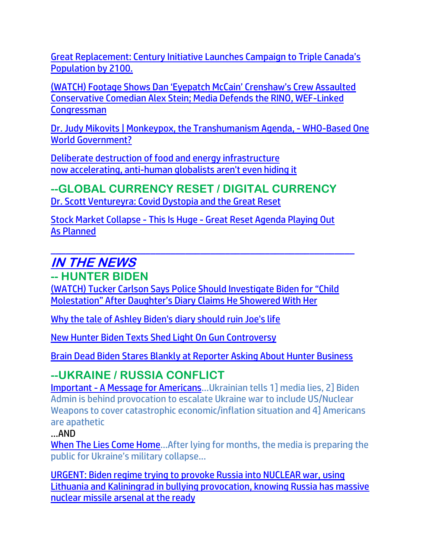Great Replacement: Century [Initiative Launches Campaign to Triple Canada's](https://rairfoundation.com/great-replacement-century-initiative-launches-campaign-to-triple-canadas-population-by-2100/)  [Population by 2100.](https://rairfoundation.com/great-replacement-century-initiative-launches-campaign-to-triple-canadas-population-by-2100/)

[\(WATCH\) Footage Shows Dan 'Eyepatch McCain' Crenshaw's Crew Assaulted](https://welovetrump.com/2022/06/19/watch-footage-shows-dan-eyepatch-mccain-crenshaws-crew-assaulted-conservative-comedian-alex-stein-media-defends-the-rino-wef-linked-congressman/)  [Conservative Comedian Alex Stein; Media Defends the RINO, WEF-Linked](https://welovetrump.com/2022/06/19/watch-footage-shows-dan-eyepatch-mccain-crenshaws-crew-assaulted-conservative-comedian-alex-stein-media-defends-the-rino-wef-linked-congressman/)  **[Congressman](https://welovetrump.com/2022/06/19/watch-footage-shows-dan-eyepatch-mccain-crenshaws-crew-assaulted-conservative-comedian-alex-stein-media-defends-the-rino-wef-linked-congressman/)** 

[Dr. Judy Mikovits | Monkeypox, the Transhumanism Agenda, -](https://ce-publicdy.naturalnews.com/ct.asp?id=FCCC94AF01C1E8981F40496CCA22E0CDE7BAB7831CDF35AA43EA8B0954268BA301E265BB3D0AD07275193F25CA9FAB38&ct=4aeUsz4AAABCWmgzMUFZJlNZLUE4HQAAF5mAAAPu0D%2fj3IAgAFCjQ0AAABFNlNMynqepo0aHlGnRYw2EuzHIDFLctQbERiHBP0tbijEKwnfvk4cF2OsQUnDf8XckU4UJAtQTgdA%3d) WHO-Based One [World Government?](https://ce-publicdy.naturalnews.com/ct.asp?id=FCCC94AF01C1E8981F40496CCA22E0CDE7BAB7831CDF35AA43EA8B0954268BA301E265BB3D0AD07275193F25CA9FAB38&ct=4aeUsz4AAABCWmgzMUFZJlNZLUE4HQAAF5mAAAPu0D%2fj3IAgAFCjQ0AAABFNlNMynqepo0aHlGnRYw2EuzHIDFLctQbERiHBP0tbijEKwnfvk4cF2OsQUnDf8XckU4UJAtQTgdA%3d)

[Deliberate destruction of food and energy infrastructure](https://www.naturalnews.com/2022-06-20-controlled-demolition-of-food-and-energy-infrastructure.html) [now accelerating, anti-human globalists aren't even hiding it](https://www.naturalnews.com/2022-06-20-controlled-demolition-of-food-and-energy-infrastructure.html)

### **--GLOBAL CURRENCY RESET / DIGITAL CURRENCY** [Dr. Scott Ventureyra: Covid Dystopia and the Great Reset](https://ce-publicdy.naturalnews.com/ct.asp?id=BD9EA3C107179BC2DABA4C04CBEE6DC3C9B9633E437C0F083BDD7341D17A7F00BDB916D68F7F753FB2B439F9E7AB6F16&ct=4aeUsz4AAABCWmgzMUFZJlNZKLiFyAAAF5mAAAP%2fcB%2fj3IAgAEEU09TT1PKA2ieUNqFAANAAAfFAh%2bnPbSqDYFmOVaCSmQFO9lOSJmVIRmb3wouHzapEDKAf8XckU4UJAouIXIA%3d)

Stock Market Collapse - This Is Huge - [Great Reset Agenda Playing Out](https://ce-publicdy.naturalnews.com/ct.asp?id=3618A92CFF1782E26E6521C16B774AF8455C0799C894650831FBDF91599CAB97634230CD45A8A306BDBD557F13E3EF0E&ct=4aeUsz4AAABCWmgzMUFZJlNZPQxa2AAAF5mAAAPu8D%2fj3IAgAEEUNPEnqNPUwTI2hQADQAAJA1ay2SaHJVjAgIXvfQsUjUXTTvaZ035ZEH692wBy4qzO1YLZF3JFOFCQPQxa2A%3d%3d)  As [Planned](https://ce-publicdy.naturalnews.com/ct.asp?id=3618A92CFF1782E26E6521C16B774AF8455C0799C894650831FBDF91599CAB97634230CD45A8A306BDBD557F13E3EF0E&ct=4aeUsz4AAABCWmgzMUFZJlNZPQxa2AAAF5mAAAPu8D%2fj3IAgAEEUNPEnqNPUwTI2hQADQAAJA1ay2SaHJVjAgIXvfQsUjUXTTvaZ035ZEH692wBy4qzO1YLZF3JFOFCQPQxa2A%3d%3d)

\_\_\_\_\_\_\_\_\_\_\_\_\_\_\_\_\_\_\_\_\_\_\_\_\_\_\_\_\_\_\_\_\_\_\_\_\_\_\_\_\_\_\_\_\_\_\_\_\_\_\_\_\_\_\_\_\_\_\_\_\_

# **IN THE NEWS**

## **-- HUNTER BIDEN**

[\(WATCH\) Tucker Carlson Says Police Should Investigate Biden for "Child](https://welovetrump.com/2022/06/18/watch-tucker-carlson-says-police-should-investigate-biden-for-child-molestation-after-daughters-diary-claims-he-showered-with-her/)  [Molestation" After Daughter's Diary Claims He Showered With Her](https://welovetrump.com/2022/06/18/watch-tucker-carlson-says-police-should-investigate-biden-for-child-molestation-after-daughters-diary-claims-he-showered-with-her/)

[Why the tale of Ashley Biden's diary should ruin Joe's life](https://www.wnd.com/2022/06/tale-ashley-bidens-diary-ruin-joes-life/)

[New Hunter Biden Texts Shed Light On Gun Controversy](https://trk.cp20.com/click/gak4-3nh8zp-8bpkki-f4obzxf5/)

[Brain Dead Biden Stares Blankly at Reporter Asking About Hunter Business](https://trk.cp20.com/click/gak4-3nhvd2-8bpre6-f4obzxf3/)

## **--UKRAINE / RUSSIA CONFLICT**

Important - [A Message for Americans](https://ce-publicdy.naturalnews.com/ct.asp?id=DB7523FEEEFD93FCECBCD43C481D7AFCBFFF5B4CD8DCB87A66E7AF461D212750BFF7A6BE31D303390A1AD1D524273AF7&ct=4aeUsz4AAABCWmgzMUFZJlNZcVPwjgAAF5mAAAOXcD%2fj3IAgAEEU8kbU9AMo0NqFNGgDQABDipPmmUrgbosiEKDHCruB6xy02SxdGZjJ5%2b%2bWfQNE7u8BcG%2fF3JFOFCQcVPwjgA%3d%3d)…Ukrainian tells 1] media lies, 2] Biden Admin is behind provocation to escalate Ukraine war to include US/Nuclear Weapons to cover catastrophic economic/inflation situation and 4] Americans are apathetic

#### …AND

[When The Lies Come Home](https://www.zerohedge.com/geopolitical/when-lies-come-home)…After lying for months, the media is preparing the public for Ukraine's military collapse...

[URGENT: Biden regime trying to provoke Russia into NUCLEAR war,](https://www.naturalnews.com/2022-06-21-nato-pushing-for-kaliningrad-catastrophe-by-provoking-russia-into-global-nuclear-war.html) using [Lithuania and Kaliningrad in bullying provocation,](https://www.naturalnews.com/2022-06-21-nato-pushing-for-kaliningrad-catastrophe-by-provoking-russia-into-global-nuclear-war.html) knowing Russia has massive [nuclear missile arsenal at the ready](https://www.naturalnews.com/2022-06-21-nato-pushing-for-kaliningrad-catastrophe-by-provoking-russia-into-global-nuclear-war.html)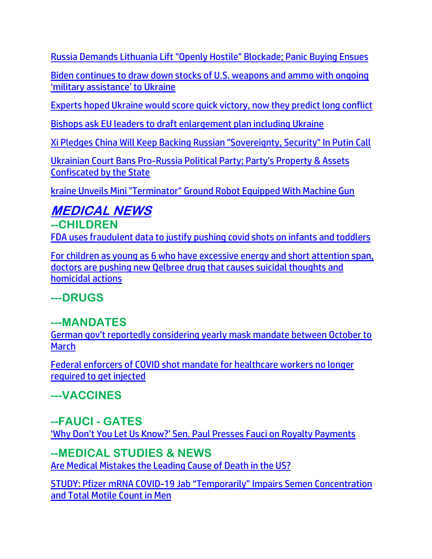[Russia Demands Lithuania Lift "Openly Hostile" Blockade; Panic Buying Ensues](https://www.zerohedge.com/geopolitical/eu-just-implemented-risky-anti-russia-measure-could-trigger-ww3-few-are-taking-notice)

[Biden continues to draw down stocks of U.S. weapons and ammo with ongoing](https://www.naturalnews.com/2022-06-21-biden-continues-draw-down-us-weapons-stocks-military-assistance-ukraine.html)  ['military assistance' to Ukraine](https://www.naturalnews.com/2022-06-21-biden-continues-draw-down-us-weapons-stocks-military-assistance-ukraine.html)

[Experts hoped Ukraine would score quick victory, now they predict long conflict](https://www.wnd.com/2022/06/experts-hoped-ukraine-score-quick-victory-now-predict-long-conflict/)

[Bishops ask EU leaders to draft enlargement plan including Ukraine](https://cruxnow.com/church-in-europe/2022/06/bishops-ask-eu-leaders-to-draft-enlargement-plan-including-ukraine)

[Xi Pledges China Will Keep Backing Russian "Sovereignty, Security" In Putin Call](https://www.zerohedge.com/geopolitical/xi-pledges-china-will-keep-backing-russian-sovereignty-security-putin-call)

Ukrainian Court Bans Pro-[Russia Political Party; Party's Property &](https://welovetrump.com/2022/06/20/ukrainian-court-bans-pro-russia-political-party-partys-property-assets-confiscated-by-the-state/) Assets [Confiscated by the State](https://welovetrump.com/2022/06/20/ukrainian-court-bans-pro-russia-political-party-partys-property-assets-confiscated-by-the-state/)

[kraine Unveils Mini "Terminator" Ground Robot Equipped With Machine Gun](https://www.zerohedge.com/military/ukraine-unveils-mini-terminator-ground-robot-equipped-machine-gun)

# **MEDICAL NEWS**

**--CHILDRE[N](https://ce-publiclw.naturalnews.com/ct.asp?id=7E72D79285E080962BDF986FF08C39300B2F9B093B865DCCDFF340F997A694B777D86F3EBA8A0D9DA2959AEA7A17C88C&ct=4aeUs1sAAABCWmgzMUFZJlNZEweOxgAAGBmAAAPzEC%2fn34AgAEiKe1Q9R5GoBo9JhTUemjRNqaYDUM9FhRDnkdnpNpEYfY9VbkCvDUQQn8F9UkJpySzoHWSQRcivocVF3LKfItifaRGjxKgmYa%2fF3JFOFCQEweOxgA%3d%3d)** [FDA uses fraudulent data to justify pushing covid shots on infants and toddlers](https://ce-publiclw.naturalnews.com/ct.asp?id=7E72D79285E080962BDF986FF08C39300B2F9B093B865DCCDFF340F997A694B777D86F3EBA8A0D9DA2959AEA7A17C88C&ct=4aeUs1sAAABCWmgzMUFZJlNZEweOxgAAGBmAAAPzEC%2fn34AgAEiKe1Q9R5GoBo9JhTUemjRNqaYDUM9FhRDnkdnpNpEYfY9VbkCvDUQQn8F9UkJpySzoHWSQRcivocVF3LKfItifaRGjxKgmYa%2fF3JFOFCQEweOxgA%3d%3d)

[For children as young as 6 who have excessive energy and short attention span,](https://ce-publiclw.naturalnews.com/ct.asp?id=98B460DEEA7FDC13EE364C1C70483FB6A6DDCA7768C2FC4C43142BB873760666856DBF9F8C917509EF943EEF751F5761&ct=4aeUs1oAAABCWmgzMUFZJlNZm6v5zAAAGBmAAAPzED7n%2foAgAEiKfqTIPSejUyPSMEQNGpgBMGohvGsj%2bX8Ym0ukIOmoM2bilnPC3uNa0IFh5epE0MIzxQWA4TeIUA2GXi5%2fV62yaykoic1O%2fxdyRThQkJur%2bcw%3d)  [doctors are pushing new Qelbree drug that causes suicidal thoughts and](https://ce-publiclw.naturalnews.com/ct.asp?id=98B460DEEA7FDC13EE364C1C70483FB6A6DDCA7768C2FC4C43142BB873760666856DBF9F8C917509EF943EEF751F5761&ct=4aeUs1oAAABCWmgzMUFZJlNZm6v5zAAAGBmAAAPzED7n%2foAgAEiKfqTIPSejUyPSMEQNGpgBMGohvGsj%2bX8Ym0ukIOmoM2bilnPC3uNa0IFh5epE0MIzxQWA4TeIUA2GXi5%2fV62yaykoic1O%2fxdyRThQkJur%2bcw%3d)  [homicidal actions](https://ce-publiclw.naturalnews.com/ct.asp?id=98B460DEEA7FDC13EE364C1C70483FB6A6DDCA7768C2FC4C43142BB873760666856DBF9F8C917509EF943EEF751F5761&ct=4aeUs1oAAABCWmgzMUFZJlNZm6v5zAAAGBmAAAPzED7n%2foAgAEiKfqTIPSejUyPSMEQNGpgBMGohvGsj%2bX8Ym0ukIOmoM2bilnPC3uNa0IFh5epE0MIzxQWA4TeIUA2GXi5%2fV62yaykoic1O%2fxdyRThQkJur%2bcw%3d)

# **---DRUGS**

# **---MANDATES**

[German gov't reportedly considering yearly mask mandate between October to](https://www.lifesitenews.com/news/german-govt-reportedly-considering-yearly-mask-mandate-between-october-to-march/?utm_source=top_news&utm_campaign=usa)  **[March](https://www.lifesitenews.com/news/german-govt-reportedly-considering-yearly-mask-mandate-between-october-to-march/?utm_source=top_news&utm_campaign=usa)** 

[Federal enforcers of COVID shot mandate for healthcare workers no longer](https://www.lifesitenews.com/news/federal-enforcers-of-covid-shot-mandate-for-healthcare-workers-no-longer-required-to-get-injected/?utm_source=top_news&utm_campaign=usa)  [required to get injected](https://www.lifesitenews.com/news/federal-enforcers-of-covid-shot-mandate-for-healthcare-workers-no-longer-required-to-get-injected/?utm_source=top_news&utm_campaign=usa)

**---VACCINES**

## **--FAUCI - GATES**

['Why Don't You Let Us Know?' Sen. Paul Presses Fauci on Royalty Payments](https://lists.youmaker.com/links/Ydrfg7nXqM/Jlid8tcrj/7xAbPNiP2/mp3pZxnUI2)

### **--MEDICAL STUDIES & NEWS**

[Are Medical Mistakes the Leading Cause of Death in the US?](https://ratherexposethem.org/2022/06/17/are-medical-mistakes-the-leading-cause-of-death-in-the-us/)

STUDY: Pfizer mRNA COVID-[19 Jab "Temporarily" Impairs Semen Concentration](https://welovetrump.com/2022/06/20/study-pfizer-mrna-covid-19-jab-temporarily-impairs-semen-concentration-and-total-motile-count-in-men/)  [and Total Motile Count in Men](https://welovetrump.com/2022/06/20/study-pfizer-mrna-covid-19-jab-temporarily-impairs-semen-concentration-and-total-motile-count-in-men/)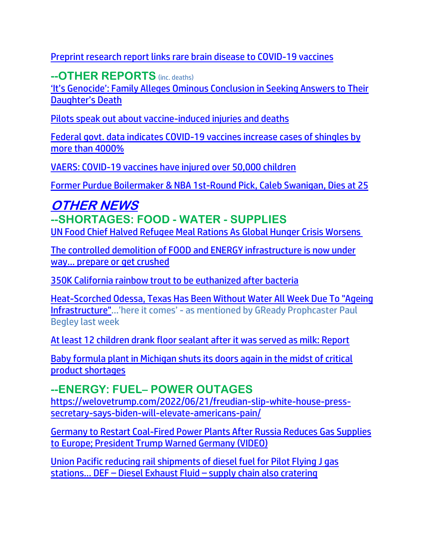[Preprint research report links rare brain disease to COVID-19 vaccines](https://www.naturalnews.com/2022-06-20-rare-brain-disease-linked-to-covid-vaccines.html)

**--OTHER REPORTS** (inc. deaths)

['It's Genocide': Family Alleges Ominous Conclusion in Seeking Answers to Their](https://lists.youmaker.com/links/ONZpJvyrGA/Jlid8tcrj/7xAbPNiP2/tJKaRzG2wp)  [Daughter's Death](https://lists.youmaker.com/links/ONZpJvyrGA/Jlid8tcrj/7xAbPNiP2/tJKaRzG2wp)

[Pilots speak out about vaccine-induced injuries and deaths](https://www.naturalnews.com/2022-06-21-pilots-speak-out-vaccine-induced-injuries-deaths.html)

[Federal govt. data indicates COVID-19 vaccines increase cases of shingles by](https://www.naturalnews.com/2022-06-21-federal-govt-data-covid-19-vaccines-increase-shingles.html)  [more than 4000%](https://www.naturalnews.com/2022-06-21-federal-govt-data-covid-19-vaccines-increase-shingles.html)

[VAERS: COVID-19 vaccines have injured over 50,000 children](https://www.naturalnews.com/2022-06-21-vaers-covid-vaccines-injured-over-50000-children.html)

[Former Purdue Boilermaker & NBA 1st-Round Pick, Caleb Swanigan, Dies at 25](https://welovetrump.com/2022/06/21/former-purdue-boilermaker-nba-1st-round-pick-caleb-swanigan-dies-at-25/)

#### **OTHER NEWS --SHORTAGES: FOOD - WATER - SUPPLIES** [UN Food Chief Halved Refugee Meal Rations As Global Hunger Crisis Worsens](https://www.zerohedge.com/geopolitical/un-food-chief-halved-refugee-food-rations-global-hunger-crisis-worsens)

[The controlled demolition of FOOD and ENERGY infrastructure is now under](https://www.naturalnews.com/2022-06-20-controlled-demolition-of-food-and-energy-infrastructure.html)  [way… prepare or get crushed](https://www.naturalnews.com/2022-06-20-controlled-demolition-of-food-and-energy-infrastructure.html)

[350K California rainbow trout to be euthanized after bacteria](https://ktla.com/news/california/350k-california-rainbow-trout-to-be-euthanized-after-bacteria-outbreak/) 

[Heat-Scorched Odessa, Texas Has Been Without Water All Week Due To "Ageing](https://www.zerohedge.com/political/heat-scorched-odessa-texas-has-been-without-water-all-week-due-ageing-infrastructure)  [Infrastructure"](https://www.zerohedge.com/political/heat-scorched-odessa-texas-has-been-without-water-all-week-due-ageing-infrastructure)…'here it comes' - as mentioned by GReady Prophcaster Paul Begley last week

[At least 12 children drank floor sealant after it was served as milk: Report](https://link.theblaze.com/click/28085034.1025065/aHR0cHM6Ly93d3cudGhlYmxhemUuY29tL25ld3MvZmxvb3Itc2VhbGFudC1jaGlsZHJlbi1taWxrP3V0bV9zb3VyY2U9dGhlYmxhemUtZGFpbHlQTSZ1dG1fbWVkaXVtPWVtYWlsJnV0bV9jYW1wYWlnbj1EYWlseS1OZXdzbGV0dGVyX19QTSAyMDIyLTA2LTE2JnV0bV90ZXJtPUFDVElWRSBMSVNUIC0gVGhlQmxhemUgRGFpbHkgUE0/61f82015384ca325d2cdab60Ce25a2bbc)

[Baby formula plant in Michigan shuts its doors again in the midst of critical](https://www.lifesitenews.com/news/baby-formula-plant-in-michigan-shuts-its-doors-again-in-the-midst-of-critical-product-shortages/?utm_source=top_news&utm_campaign=usa)  [product shortages](https://www.lifesitenews.com/news/baby-formula-plant-in-michigan-shuts-its-doors-again-in-the-midst-of-critical-product-shortages/?utm_source=top_news&utm_campaign=usa)

**--ENERGY: FUEL– POWER OUTAGES** [https://welovetrump.com/2022/06/21/freudian-slip-white-house-press](https://welovetrump.com/2022/06/21/freudian-slip-white-house-press-secretary-says-biden-will-elevate-americans-pain/)[secretary-says-biden-will-elevate-americans-pain/](https://welovetrump.com/2022/06/21/freudian-slip-white-house-press-secretary-says-biden-will-elevate-americans-pain/)

[Germany to Restart Coal-Fired Power Plants After Russia Reduces Gas Supplies](https://welovetrump.com/2022/06/19/germany-to-restart-coal-fired-power-plants-after-russia-reduces-gas-supplies-to-europe-president-trump-warned-germany-video/)  [to Europe; President Trump Warned Germany \(VIDEO\)](https://welovetrump.com/2022/06/19/germany-to-restart-coal-fired-power-plants-after-russia-reduces-gas-supplies-to-europe-president-trump-warned-germany-video/)

[Union Pacific reducing rail shipments of diesel fuel for Pilot Flying J gas](https://www.naturalnews.com/2022-06-21-union-pacific-pilot-flying-j-diesel-shortage.html)  stations… DEF – Diesel Exhaust Fluid – [supply chain also cratering](https://www.naturalnews.com/2022-06-21-union-pacific-pilot-flying-j-diesel-shortage.html)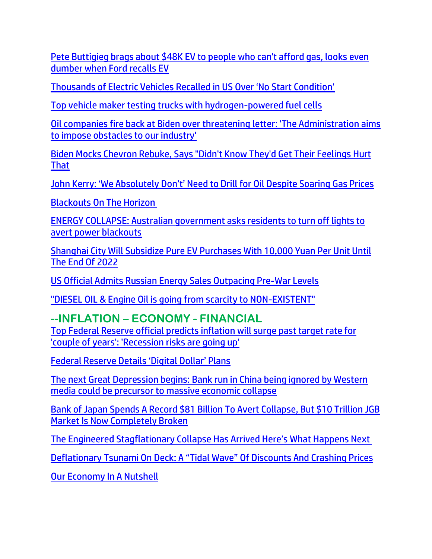[Pete Buttigieg brags about \\$48K EV to people who can't afford gas, looks even](https://link.theblaze.com/click/28085999.947880/aHR0cHM6Ly93d3cudGhlYmxhemUuY29tL3Nob3dzL3RoZS1nbGVubi1iZWNrLXByb2dyYW0vYnV0dGlnaWVnLWVsZWN0cmljLXZlaGljbGVzP3V0bV9zb3VyY2U9dGhlYmxhemUtN0RheVRyZW5kaW5nVGVzdCZ1dG1fbWVkaXVtPWVtYWlsJnV0bV9jYW1wYWlnbj1UaGUgQmxhemUgUE0gVHJlbmRpbmcgMjAyMi0wNi0xNiZ1dG1fdGVybT1BQ1RJVkUgTElTVCAtIDcgRGF5IEVuZ2FnZW1lbnQ/61f82015384ca325d2cdab60C32a5347b)  [dumber when Ford recalls EV](https://link.theblaze.com/click/28085999.947880/aHR0cHM6Ly93d3cudGhlYmxhemUuY29tL3Nob3dzL3RoZS1nbGVubi1iZWNrLXByb2dyYW0vYnV0dGlnaWVnLWVsZWN0cmljLXZlaGljbGVzP3V0bV9zb3VyY2U9dGhlYmxhemUtN0RheVRyZW5kaW5nVGVzdCZ1dG1fbWVkaXVtPWVtYWlsJnV0bV9jYW1wYWlnbj1UaGUgQmxhemUgUE0gVHJlbmRpbmcgMjAyMi0wNi0xNiZ1dG1fdGVybT1BQ1RJVkUgTElTVCAtIDcgRGF5IEVuZ2FnZW1lbnQ/61f82015384ca325d2cdab60C32a5347b)

[Thousands of Electric Vehicles Recalled in US Over 'No Start Condition'](https://lists.youmaker.com/links/lvS7VWL44P/Jlid8tcrj/7xAbPNiP2/Sy19TGulMA)

[Top vehicle maker testing trucks with hydrogen-powered fuel cells](https://www.wnd.com/2022/06/top-vehicle-maker-testing-trucks-hydrogen-fuel-cells-powered/)

[Oil companies fire back at Biden over threatening letter: 'The Administration aims](https://link.theblaze.com/click/28085034.1025065/aHR0cHM6Ly93d3cudGhlYmxhemUuY29tL25ld3MvLTI2NTc1MTk0NTY_dXRtX3NvdXJjZT10aGVibGF6ZS1kYWlseVBNJnV0bV9tZWRpdW09ZW1haWwmdXRtX2NhbXBhaWduPURhaWx5LU5ld3NsZXR0ZXJfX1BNIDIwMjItMDYtMTYmdXRtX3Rlcm09QUNUSVZFIExJU1QgLSBUaGVCbGF6ZSBEYWlseSBQTQ/61f82015384ca325d2cdab60C6821fa18)  [to impose obstacles to our industry'](https://link.theblaze.com/click/28085034.1025065/aHR0cHM6Ly93d3cudGhlYmxhemUuY29tL25ld3MvLTI2NTc1MTk0NTY_dXRtX3NvdXJjZT10aGVibGF6ZS1kYWlseVBNJnV0bV9tZWRpdW09ZW1haWwmdXRtX2NhbXBhaWduPURhaWx5LU5ld3NsZXR0ZXJfX1BNIDIwMjItMDYtMTYmdXRtX3Rlcm09QUNUSVZFIExJU1QgLSBUaGVCbGF6ZSBEYWlseSBQTQ/61f82015384ca325d2cdab60C6821fa18)

[Biden Mocks Chevron Rebuke, Says "Didn't Know They'd Get Their Feelings Hurt](https://www.zerohedge.com/energy/chevron-ceo-slams-political-rhetoric-scorching-letter-biden)  [That](https://www.zerohedge.com/energy/chevron-ceo-slams-political-rhetoric-scorching-letter-biden)

[John Kerry: 'We Absolutely Don't' Need to Drill for Oil Despite Soaring Gas Prices](https://lists.youmaker.com/links/eF8xBrnxFt/Jlid8tcrj/7xAbPNiP2/0BAxoJRMnB)

[Blackouts On The Horizon](https://canadafreepress.com/article/blackouts-on-the-horizon)

[ENERGY COLLAPSE: Australian government asks residents to turn off lights to](https://www.naturalnews.com/2022-06-17-energy-collapse-australia-residents-no-heat-blackouts.html)  [avert power blackouts](https://www.naturalnews.com/2022-06-17-energy-collapse-australia-residents-no-heat-blackouts.html)

[Shanghai City Will Subsidize Pure EV Purchases With 10,000 Yuan Per Unit Until](https://www.zerohedge.com/markets/shanghai-city-will-subsidize-pure-ev-purchases-10000-yuan-unit-until-end-2022)  [The End Of](https://www.zerohedge.com/markets/shanghai-city-will-subsidize-pure-ev-purchases-10000-yuan-unit-until-end-2022) 2022

[US Official Admits Russian Energy Sales Outpacing Pre-War Levels](https://trk.cp20.com/click/gak4-3ni1nt-8bpthj-f4obzxf8/)

["DIESEL OIL & Engine Oil is going from scarcity to NON-EXISTENT"](https://www.brighteon.com/4938fb56-a9e2-4dda-8fe8-c43945a3b070)

## **--INFLATION – ECONOMY - FINANCIAL**

[Top Federal Reserve official predicts inflation will surge past target rate for](https://www.theblaze.com/news/loretta-mester-inflation-crisis-couple-of-years)  ['couple of years': 'Recession risks are going up'](https://www.theblaze.com/news/loretta-mester-inflation-crisis-couple-of-years) 

[Federal Reserve Details 'Digital Dollar' Plans](https://nationalfile.com/federal-reserve-details-digital-dollar-plans/)

[The next Great Depression begins: Bank run in China being ignored by Western](https://ce-publicdy.naturalnews.com/ct.asp?id=A2BE406CDB6280FF516F4062297CB1D36F6E813C4CCA9667EEDF7E1F15D01337D04C6963D23536F66A5D2A30627C4CBD&ct=4aeUs1UAAABCWmgzMUFZJlNZJDtOQwAAFpmAAAPxED7v3qAgAEhqmh6htGiND9U0wUADRoAATYQ7Vw6v%2freRaEQ7OQnZjRn5U8FmSZVFL6mIrxDiYv9A4aEQa9Uw9RBLEm0wqYs%2bb%2fF3JFOFCQJDtOQw)  [media could be precursor to massive economic collapse](https://ce-publicdy.naturalnews.com/ct.asp?id=A2BE406CDB6280FF516F4062297CB1D36F6E813C4CCA9667EEDF7E1F15D01337D04C6963D23536F66A5D2A30627C4CBD&ct=4aeUs1UAAABCWmgzMUFZJlNZJDtOQwAAFpmAAAPxED7v3qAgAEhqmh6htGiND9U0wUADRoAATYQ7Vw6v%2freRaEQ7OQnZjRn5U8FmSZVFL6mIrxDiYv9A4aEQa9Uw9RBLEm0wqYs%2bb%2fF3JFOFCQJDtOQw)

Bank of [Japan Spends A Record \\$81 Billion To Avert Collapse, But \\$10 Trillion JGB](https://www.zerohedge.com/markets/bank-japan-spends-record-81-billion-avert-collapse-10-trillion-jgb-market-now-completely)  [Market Is Now Completely Broken](https://www.zerohedge.com/markets/bank-japan-spends-record-81-billion-avert-collapse-10-trillion-jgb-market-now-completely)

[The Engineered Stagflationary Collapse Has Arrived Here's What Happens Next](https://thecommonsenseshow.com/activism-agenda-21-conspiracy/engineered-stagflationary-collapse-has-arrived-heres-what-happens-next)

[Deflationary Tsunami On Deck: A "Tidal Wave" Of Discounts And Crashing Prices](https://www.zerohedge.com/economics/deflationary-tsunami-deck-tidal-wave-discounts-and-crashing-prices)

[Our Economy In A Nutshell](https://www.zerohedge.com/markets/our-economy-nutshell)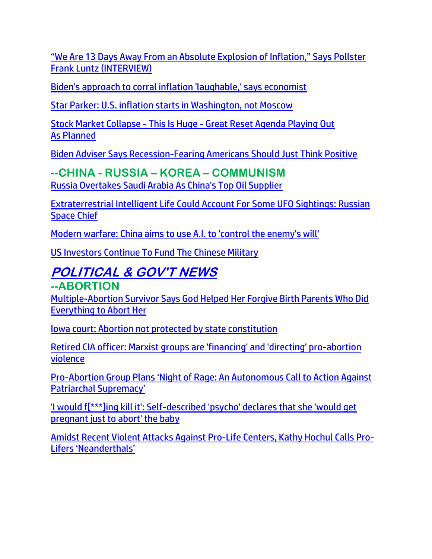["We Are 13 Days Away From an Absolute Explosion of Inflation," Says Pollster](https://welovetrump.com/2022/06/17/we-are-13-days-away-from-an-absolute-explosion-of-inflation-says-pollster-frank-luntz-interview/)  [Frank Luntz \(INTERVIEW\)](https://welovetrump.com/2022/06/17/we-are-13-days-away-from-an-absolute-explosion-of-inflation-says-pollster-frank-luntz-interview/)

[Biden's approach to corral inflation 'laughable,' says economist](https://inform.afa.net/optiext/optiextension.dll?ID=eMNeGRMHh8ShL315YCGPeCGTUxTZZmqsQiBYoPMTOH_wLE20SoLy6jrRV9fu1wPAQT4Y4SMWhF2lRlu1dZnBfJTWBUIhOFT3jOoyO7KS)

[Star Parker: U.S. inflation starts in Washington, not Moscow](https://inform.afa.net/optiext/optiextension.dll?ID=NfeNba_A12oxq2I02u3PdAzk5Z8Lm7%2BMRvhCUCQwKEhC6fexoyfHQk58LgrSR5HijVTH2D6zJKtkd6%2BJnfOATTfhc9So9T4ubPcuMINI)

Stock Market Collapse - This Is Huge - [Great Reset Agenda Playing Out](https://ce-publicdy.naturalnews.com/ct.asp?id=3618A92CFF1782E26E6521C16B774AF8455C0799C894650831FBDF91599CAB97634230CD45A8A306BDBD557F13E3EF0E&ct=4aeUsz4AAABCWmgzMUFZJlNZPQxa2AAAF5mAAAPu8D%2fj3IAgAEEUNPEnqNPUwTI2hQADQAAJA1ay2SaHJVjAgIXvfQsUjUXTTvaZ035ZEH692wBy4qzO1YLZF3JFOFCQPQxa2A%3d%3d)  As [Planned](https://ce-publicdy.naturalnews.com/ct.asp?id=3618A92CFF1782E26E6521C16B774AF8455C0799C894650831FBDF91599CAB97634230CD45A8A306BDBD557F13E3EF0E&ct=4aeUsz4AAABCWmgzMUFZJlNZPQxa2AAAF5mAAAPu8D%2fj3IAgAEEUNPEnqNPUwTI2hQADQAAJA1ay2SaHJVjAgIXvfQsUjUXTTvaZ035ZEH692wBy4qzO1YLZF3JFOFCQPQxa2A%3d%3d)

[Biden Adviser Says Recession-Fearing Americans Should Just Think Positive](https://lists.youmaker.com/links/X906hWSLTe/Jlid8tcrj/7xAbPNiP2/UcznS5DHe)

### **--CHINA - RUSSIA – KOREA – COMMUNISM**

[Russia Overtakes Saudi Arabia As China's Top Oil Supplier](https://www.zerohedge.com/energy/russia-overtakes-saudi-arabia-chinas-top-oil-supplier)

[Extraterrestrial Intelligent Life Could Account For Some UFO Sightings: Russian](https://www.zerohedge.com/geopolitical/extraterrestrial-intelligent-life-could-account-some-ufo-sightings-russian-space-chief)  [Space Chief](https://www.zerohedge.com/geopolitical/extraterrestrial-intelligent-life-could-account-some-ufo-sightings-russian-space-chief)

[Modern warfare: China aims to use A.I. to 'control the enemy's will'](https://www.wnd.com/2022/06/modern-warfare-china-aims-use-control-enemys-will/)

[US Investors Continue To Fund The Chinese Military](https://www.zerohedge.com/political/us-investors-continue-fund-chinese-military)

## **POLITICAL & GOV'T NEWS --ABORTION**

[Multiple-Abortion Survivor Says God Helped Her Forgive Birth Parents Who Did](https://lists.youmaker.com/links/lvS7VWL44P/Jlid8tcrj/7xAbPNiP2/ORg2mtiYIsD)  [Everything to Abort Her](https://lists.youmaker.com/links/lvS7VWL44P/Jlid8tcrj/7xAbPNiP2/ORg2mtiYIsD)

[Iowa court: Abortion not protected by state constitution](https://inform.afa.net/optiext/optiextension.dll?ID=lPOlUV6YTp0Ncj%2BLrqHqYe78A7uATsYsBg_TUcXTBPV_oq0BJzHk01wZLp9RTPd8HV7epwjAGZb4q97INq1r24YCL_tpl8hJojIu3oRK)

[Retired CIA officer: Marxist groups are 'financing' and 'directing' pro-abortion](https://ce-publiclw.naturalnews.com/ct.asp?id=1B8E75B72F315DD1070B21C5410B1F5AD78305A47736386BAF83C4B910639DFED0CF0BF49AB44D39403724864E4873DD&ct=4aeUsz4AAABCWmgzMUFZJlNZUq9mTQAAF5mAAAOnsD%2fj3IAgAEEU09TyjxTymmjQ2oU0aANAAEG1Ju90sabbisGJRqGLBVVSqc9C5GzyXD9%2b%2bZzgCZCmRpIN%2bLuSKcKEgpV7Mmg%3d)  [violence](https://ce-publiclw.naturalnews.com/ct.asp?id=1B8E75B72F315DD1070B21C5410B1F5AD78305A47736386BAF83C4B910639DFED0CF0BF49AB44D39403724864E4873DD&ct=4aeUsz4AAABCWmgzMUFZJlNZUq9mTQAAF5mAAAOnsD%2fj3IAgAEEU09TyjxTymmjQ2oU0aANAAEG1Ju90sabbisGJRqGLBVVSqc9C5GzyXD9%2b%2bZzgCZCmRpIN%2bLuSKcKEgpV7Mmg%3d)

Pro-[Abortion Group Plans 'Night of Rage: An Autonomous Call to Action Against](https://delivery.email.saraacarter.com/GUIDARZE?id=153976=eh4CVwZWCQQBTFdTUAAMUFEHB1JRVQBaWAYBBAtTVVsLAwRUUVVVUAMJBgpTDgVXAQEeXlxdAxEKDCRUVABaVBcBXQtPVAYGAgYFBlUPAg0FBVsNAQcaChURFEADThxcXA5bEFYXSR1SXVJbChdGVUVTA1dWQxIHE0sHXFROdG1wJnM0aSAPWlNMRQE=&fl=URZGFkBfHxxDVV9XC1xBRl5XERpdVAMMBksHXFROUFRQAVk=&ext=dD1leUpoYkdjaU9pSklVekkxTmlJc0luUjVjQ0k2SWtwWFZDSjkuZXlKd0lqcGJiblZzYkN4dWRXeHNMQ0pvZEhSd2N6b3ZMM05oY21GaFkyRnlkR1Z5TG1OdmJTOXdjbTh0WVdKdmNuUnBiMjR0WjNKdmRYQXRjR3hoYm5NdGJtbG5hSFF0YjJZdGNtRm5aUzFoYmkxaGRYUnZibTl0YjNWekxXTmhiR3d0ZEc4dFlXTjBhVzl1TFdGbllXbHVjM1F0Y0dGMGNtbGhjbU5vWVd3dGMzVndjbVZ0WVdONUx6OTFkRzFmYzI5MWNtTmxQV3BsWlc1bkptcGxiVDFqTldFek9EVTNNR013WVdSalkyTm1PR0ZpTTJSak9XSmlOekF5TXpObU15SXNiblZzYkN3eExHWmhiSE5sTEdaaGJITmxMQ0prWkRVd056TXlaQzB6WTJaaExUUTFZamN0T0RVeE1TMDJaV1V5WVRBMk1HRTROek1pTENJeE5ESTBNRE0zTmkxbU1tTmtMVFEyWlRJdE9XVXpOaTA0WVdNd01XTmlPV1EwWTJRaUxDSTRZV1kxTnpBNE1DMDVZekV6TFRSaVpETXRZamcyWmkwd1lqTmpOV1JtT1RGbU1XSWlMQ0pvZEhSd2N6b3ZMM05oY21GaFkyRnlkR1Z5TG1OdmJTOXdjbTh0WVdKdmNuUnBiMjR0WjNKdmRYQXRjR3hoYm5NdGJtbG5hSFF0YjJZdGNtRm5aUzFoYmkxaGRYUnZibTl0YjNWekxXTmhiR3d0ZEc4dFlXTjBhVzl1TFdGbllXbHVjM1F0Y0dGMGNtbGhjbU5vWVd3dGMzVndjbVZ0WVdONUx5SXNJbU0zY0ROZk1DSXNJbVZ0WVdsc0lpd2lSRk1pWFN3aWFXRjBJam94TmpVMU56TXdNREUyZlEuWnBfLXM0MjAtV2pxendUZDMzU0FCblZDTVNuT2NZaTYySHZCT0hNWTFCdw==)  [Patriarchal Supremacy'](https://delivery.email.saraacarter.com/GUIDARZE?id=153976=eh4CVwZWCQQBTFdTUAAMUFEHB1JRVQBaWAYBBAtTVVsLAwRUUVVVUAMJBgpTDgVXAQEeXlxdAxEKDCRUVABaVBcBXQtPVAYGAgYFBlUPAg0FBVsNAQcaChURFEADThxcXA5bEFYXSR1SXVJbChdGVUVTA1dWQxIHE0sHXFROdG1wJnM0aSAPWlNMRQE=&fl=URZGFkBfHxxDVV9XC1xBRl5XERpdVAMMBksHXFROUFRQAVk=&ext=dD1leUpoYkdjaU9pSklVekkxTmlJc0luUjVjQ0k2SWtwWFZDSjkuZXlKd0lqcGJiblZzYkN4dWRXeHNMQ0pvZEhSd2N6b3ZMM05oY21GaFkyRnlkR1Z5TG1OdmJTOXdjbTh0WVdKdmNuUnBiMjR0WjNKdmRYQXRjR3hoYm5NdGJtbG5hSFF0YjJZdGNtRm5aUzFoYmkxaGRYUnZibTl0YjNWekxXTmhiR3d0ZEc4dFlXTjBhVzl1TFdGbllXbHVjM1F0Y0dGMGNtbGhjbU5vWVd3dGMzVndjbVZ0WVdONUx6OTFkRzFmYzI5MWNtTmxQV3BsWlc1bkptcGxiVDFqTldFek9EVTNNR013WVdSalkyTm1PR0ZpTTJSak9XSmlOekF5TXpObU15SXNiblZzYkN3eExHWmhiSE5sTEdaaGJITmxMQ0prWkRVd056TXlaQzB6WTJaaExUUTFZamN0T0RVeE1TMDJaV1V5WVRBMk1HRTROek1pTENJeE5ESTBNRE0zTmkxbU1tTmtMVFEyWlRJdE9XVXpOaTA0WVdNd01XTmlPV1EwWTJRaUxDSTRZV1kxTnpBNE1DMDVZekV6TFRSaVpETXRZamcyWmkwd1lqTmpOV1JtT1RGbU1XSWlMQ0pvZEhSd2N6b3ZMM05oY21GaFkyRnlkR1Z5TG1OdmJTOXdjbTh0WVdKdmNuUnBiMjR0WjNKdmRYQXRjR3hoYm5NdGJtbG5hSFF0YjJZdGNtRm5aUzFoYmkxaGRYUnZibTl0YjNWekxXTmhiR3d0ZEc4dFlXTjBhVzl1TFdGbllXbHVjM1F0Y0dGMGNtbGhjbU5vWVd3dGMzVndjbVZ0WVdONUx5SXNJbU0zY0ROZk1DSXNJbVZ0WVdsc0lpd2lSRk1pWFN3aWFXRjBJam94TmpVMU56TXdNREUyZlEuWnBfLXM0MjAtV2pxendUZDMzU0FCblZDTVNuT2NZaTYySHZCT0hNWTFCdw==)

['I would f\[\\*\\*\\*\]ing kill it': Self-described 'psycho' declares that she 'would get](https://www.theblaze.com/news/pregnant-abortion-kill-baby)  [pregnant just to abort' the baby](https://www.theblaze.com/news/pregnant-abortion-kill-baby) 

[Amidst Recent Violent Attacks Against Pro-Life Centers, Kathy Hochul Calls Pro-](https://welovetrump.com/2022/06/20/amidst-recent-violent-attacks-against-pro-life-centers-kathy-hochul-calls-pro-lifers-neanderthals/)[Lifers 'Neanderthals'](https://welovetrump.com/2022/06/20/amidst-recent-violent-attacks-against-pro-life-centers-kathy-hochul-calls-pro-lifers-neanderthals/)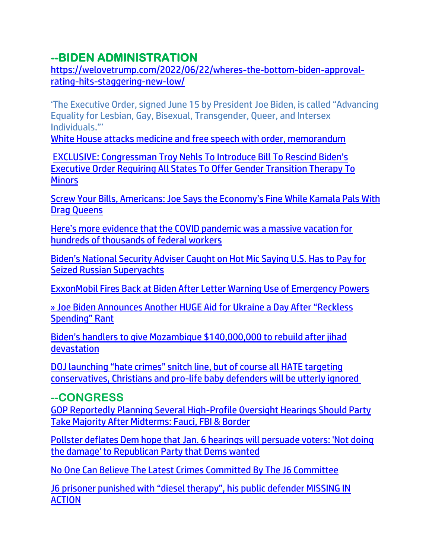# **--BIDEN ADMINISTRATION**

[https://welovetrump.com/2022/06/22/wheres-the-bottom-biden-approval](https://welovetrump.com/2022/06/22/wheres-the-bottom-biden-approval-rating-hits-staggering-new-low/)[rating-hits-staggering-new-low/](https://welovetrump.com/2022/06/22/wheres-the-bottom-biden-approval-rating-hits-staggering-new-low/)

'The Executive Order, signed June 15 by President Joe Biden, is called "Advancing Equality for Lesbian, Gay, Bisexual, Transgender, Queer, and Intersex Individuals."['](https://afn.net/politics-govt/2022/06/17/white-house-attacks-medicine-and-free-speech-with-order-memorandum/)

[White House attacks medicine and free speech with order, memorandum](https://afn.net/politics-govt/2022/06/17/white-house-attacks-medicine-and-free-speech-with-order-memorandum/)

[EXCLUSIVE: Congressman Troy Nehls To Introduce Bill To Rescind Biden's](https://www.thegatewaypundit.com/2022/06/exclusive-congressman-troy-nehls-introduce-bill-rescind-bidens-executive-order-requiring-states-offer-gender-transition-therapy-minors/)  [Executive Order Requiring All States To Offer Gender Transition Therapy To](https://www.thegatewaypundit.com/2022/06/exclusive-congressman-troy-nehls-introduce-bill-rescind-bidens-executive-order-requiring-states-offer-gender-transition-therapy-minors/)  **[Minors](https://www.thegatewaypundit.com/2022/06/exclusive-congressman-troy-nehls-introduce-bill-rescind-bidens-executive-order-requiring-states-offer-gender-transition-therapy-minors/)** 

[Screw Your Bills, Americans: Joe Says the Economy's Fine While Kamala Pals With](https://ratherexposethem.org/2022/06/14/screw-your-bills-americans-joe-says-the-economys-fine-while-kamala-pals-with-drag-queens/)  [Drag Queens](https://ratherexposethem.org/2022/06/14/screw-your-bills-americans-joe-says-the-economys-fine-while-kamala-pals-with-drag-queens/)

[Here's more evidence that the COVID pandemic was a massive vacation for](https://www.naturalnews.com/2022-06-21-evidence-covid-pandemic-massive-vacation-thousands-federal-workers.html)  [hundreds of thousands of federal workers](https://www.naturalnews.com/2022-06-21-evidence-covid-pandemic-massive-vacation-thousands-federal-workers.html)

[Biden's National Security Adviser Caught on Hot Mic Saying U.S. Has to Pay for](https://welovetrump.com/2022/06/20/bidens-national-security-adviser-caught-on-hot-mic-saying-u-s-has-to-pay-for-seized-russian-superyachts/)  [Seized Russian Superyachts](https://welovetrump.com/2022/06/20/bidens-national-security-adviser-caught-on-hot-mic-saying-u-s-has-to-pay-for-seized-russian-superyachts/)

[ExxonMobil Fires Back at Biden After Letter Warning Use of Emergency Powers](https://lists.youmaker.com/links/lvS7VWL44P/Jlid8tcrj/7xAbPNiP2/iaD7vf9rNF)

[» Joe Biden Announces Another HUGE Aid](https://trk.cp20.com/click/gak4-3nh3pi-8bpjf1-f4obzxf1/) for Ukraine a Day After "Reckless [Spending" Rant](https://trk.cp20.com/click/gak4-3nh3pi-8bpjf1-f4obzxf1/)

[Biden's handlers to give Mozambique \\$140,000,000 to rebuild after jih](https://ratherexposethem.org/2022/06/20/bidens-handlers-to-give-mozambique-140000000-to-rebuild-after-jihad-devastation/)ad [devastation](https://ratherexposethem.org/2022/06/20/bidens-handlers-to-give-mozambique-140000000-to-rebuild-after-jihad-devastation/)

[DOJ launching "hate crimes" snitch line, but of course all HATE targeting](https://www.naturalnews.com/2022-06-19-doj-launches-hate-crimes-snitch-line.html)  [conservatives, Christians and pro-life baby defenders will be utterly ignored](https://www.naturalnews.com/2022-06-19-doj-launches-hate-crimes-snitch-line.html)

### **--CONGRESS**

[GOP Reportedly Planning Several High-Profile Oversight Hearings Should Party](https://welovetrump.com/2022/06/20/gop-reportedly-planning-several-high-profile-oversight-hearings-should-party-take-majority-after-midterms-fauci-fbi-border/)  [Take Majority After Midterms: Fauci, FBI & Border](https://welovetrump.com/2022/06/20/gop-reportedly-planning-several-high-profile-oversight-hearings-should-party-take-majority-after-midterms-fauci-fbi-border/)

[Pollster deflates Dem hope that Jan. 6 hearings will persuade voters: 'Not doing](https://link.theblaze.com/click/28128473.919930/aHR0cHM6Ly93d3cudGhlYmxhemUuY29tL25ld3MvZnJhbmstbHVudHotdm90ZXItaW1wYWN0LWphbi02LWhlYXJpbmdzP3V0bV9zb3VyY2U9dGhlYmxhemUtN0RheVRyZW5kaW5nVGVzdCZ1dG1fbWVkaXVtPWVtYWlsJnV0bV9jYW1wYWlnbj1BZnRlcm5vb24gQXV0byBUcmVuZGluZyA3IERheSBFbmdhZ2VkIDIwMjItMDYtMjEmdXRtX3Rlcm09QUNUSVZFIExJU1QgLSA3IERheSBFbmdhZ2VtZW50/61f82015384ca325d2cdab60Cded67253)  [the damage' to Republican Party that Dems wanted](https://link.theblaze.com/click/28128473.919930/aHR0cHM6Ly93d3cudGhlYmxhemUuY29tL25ld3MvZnJhbmstbHVudHotdm90ZXItaW1wYWN0LWphbi02LWhlYXJpbmdzP3V0bV9zb3VyY2U9dGhlYmxhemUtN0RheVRyZW5kaW5nVGVzdCZ1dG1fbWVkaXVtPWVtYWlsJnV0bV9jYW1wYWlnbj1BZnRlcm5vb24gQXV0byBUcmVuZGluZyA3IERheSBFbmdhZ2VkIDIwMjItMDYtMjEmdXRtX3Rlcm09QUNUSVZFIExJU1QgLSA3IERheSBFbmdhZ2VtZW50/61f82015384ca325d2cdab60Cded67253)

[No One Can Believe The Latest Crimes Committed By The J6 Committee](https://ce-publiclw.naturalnews.com/ct.asp?id=850CC5967294B9CEA17AA357F22E3567A67C4CD0013E0D10B732E24A82E25BBCFC9118CD59E8A615D06C812244EBBB46&ct=4aeUsz4AAABCWmgzMUFZJlNZra7G6QAAF5mAAAP%2f8D%2fj3IAgAFREmBMCZPSGBqEUeo2oekbSeo2o0NqSJSeu9TU5IsUVppwbBfSAwtzPAaAwDpF1UvfCewa9cJEjggH8XckU4UJCtrsbpA%3d%3d)

[J6 prisoner punished with "diesel therapy", his public de](https://www.naturalnews.com/2022-06-21-j6-prisoner-punished-with-diesel-therapy.html)fender MISSING IN [ACTION](https://www.naturalnews.com/2022-06-21-j6-prisoner-punished-with-diesel-therapy.html)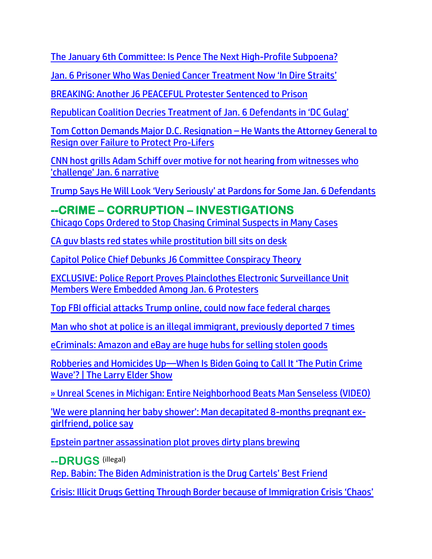[The January 6th Committee: Is Pence The Next High-Profile Subpoena?](https://welovetrump.com/2022/06/20/the-january-6th-committee-is-pence-the-next-high-profile-subpoena/)

[Jan. 6 Prisoner Who Was Denied Cancer Treatment Now 'In Dire Straits'](https://lists.youmaker.com/links/x8FbLx2TVy/Jlid8tcrj/7xAbPNiP2/m8brlBXsUS)

[BREAKING: Another J6 PEACEFUL Protester Sentenced to Prison](https://trk.cp20.com/click/gak4-3nhfdv-8bpndu-f4obzxf3/)

Republic[an Coalition Decries Treatment of Jan. 6 Defendants in 'DC Gulag'](https://lists.youmaker.com/links/lvS7VWL44P/Jlid8tcrj/7xAbPNiP2/C3VgeJLcsJ)

[Tom Cotton Demands Major D.C. Resignation](https://pjnewsletter.com/tom-cotton-resignation-ag/) – He Wants the Attorney General to [Resign over Failure to Protect Pro-Lifers](https://pjnewsletter.com/tom-cotton-resignation-ag/)

[CNN host grills Adam Schiff over motive for not hearing from witnesses who](https://link.theblaze.com/click/28117075.1123285/aHR0cHM6Ly93d3cudGhlYmxhemUuY29tL25ld3MvZGFuYS1iYXNoLWdyaWxscy1hZGFtLXNjaGlmZi13aXRuZXNzLWNoYWxsZW5nZS1qYW4tNi1uYXJyYXRpdmU_dXRtX3NvdXJjZT10aGVibGF6ZS1icmVha2luZyZ1dG1fbWVkaXVtPWVtYWlsJnV0bV9jYW1wYWlnbj0yMDIyMDYyMFRyZW5kaW5nLURhbmFCYXNoU2NoaWZmJnV0bV90ZXJtPUFDVElWRSBMSVNUIC0gVGhlQmxhemUgQnJlYWtpbmcgTmV3cw/61f82015384ca325d2cdab60C17f1be18)  ['challenge' Jan. 6 narrative](https://link.theblaze.com/click/28117075.1123285/aHR0cHM6Ly93d3cudGhlYmxhemUuY29tL25ld3MvZGFuYS1iYXNoLWdyaWxscy1hZGFtLXNjaGlmZi13aXRuZXNzLWNoYWxsZW5nZS1qYW4tNi1uYXJyYXRpdmU_dXRtX3NvdXJjZT10aGVibGF6ZS1icmVha2luZyZ1dG1fbWVkaXVtPWVtYWlsJnV0bV9jYW1wYWlnbj0yMDIyMDYyMFRyZW5kaW5nLURhbmFCYXNoU2NoaWZmJnV0bV90ZXJtPUFDVElWRSBMSVNUIC0gVGhlQmxhemUgQnJlYWtpbmcgTmV3cw/61f82015384ca325d2cdab60C17f1be18)

Trump Says [He Will Look 'Very Seriously' at Pardons for Some Jan. 6 Defendants](https://lists.youmaker.com/links/Ydrfg7nXqM/Jlid8tcrj/7xAbPNiP2/4Is7R0VRy1)

**--CRIME – CORRUPTION – INVESTIGATIONS** [Chicago Cops Ordered to Stop Chasing Criminal Suspects in Many Cases](https://welovetrump.com/2022/06/21/chicago-cops-ordered-to-stop-chasing-criminal-suspects-in-many-cases/)

[CA guv blasts red states while prostitution bill sits on desk](https://inform.afa.net/optiext/optiextension.dll?ID=XtsXvN2StyenCTU5dpV8bmdsp7XWZKm7qmb6oGcNv1AZDv5byHOKzS2H2yGJoZI0AnTEWzZtoyJxyhcxV9LXIB8CWf93XQFxN6YHDKX5)

[Capitol Police Chief Debunks J6 Committee Conspiracy Theory](https://trk.cp20.com/click/gak4-3nglco-8bpd9e-f4obzxf1/)

[EXCLUSIVE: Police Report Proves Plainclothes Electronic Surveillance Unit](https://lists.youmaker.com/links/u4OjUaeoAg/Jlid8tcrj/7xAbPNiP2/DcsA4jRIPD)  [Members Were Embedded Among Jan. 6 Protesters](https://lists.youmaker.com/links/u4OjUaeoAg/Jlid8tcrj/7xAbPNiP2/DcsA4jRIPD)

[Top FBI official attacks Trump online, could now face federal charges](https://www.wnd.com/2022/06/top-fbi-official-spanks-trump-online-now-face-federal-charges/)

[Man who shot at police is an illegal immigrant, previously deported 7 times](https://alphanews.org/man-who-shot-at-police-is-an-illegal-immigrant-previously-deported-7-times/)

[eCriminals: Amazon and eBay are huge hubs for selling stolen goods](https://www.naturalnews.com/2022-06-20-amazon-ebay-huge-hubs-selling-stolen-goods.html)

Robberies and Homicides Up[—When Is Biden Going to Call It 'The Putin Crime](https://lists.youmaker.com/links/lvS7VWL44P/Jlid8tcrj/7xAbPNiP2/qhyprYHnQZo)  Wave'? [| The Larry Elder Show](https://lists.youmaker.com/links/lvS7VWL44P/Jlid8tcrj/7xAbPNiP2/qhyprYHnQZo)

[» Unreal Scenes in Michigan: Entire Neighborhood Beats Man Senseless \(VIDEO\)](https://trk.cp20.com/click/gak4-3nhjzo-8bpoky-f4obzxf4/)

['We were planning her baby shower': Man decapitated 8-months pregnant ex](https://link.theblaze.com/click/28114706.1047154/aHR0cHM6Ly93d3cudGhlYmxhemUuY29tL25ld3MvbGllc2UtZG9kZC1tdXJkZXItZGV1bmRyZWEtaG9sbG93YXk_dXRtX3NvdXJjZT10aGVibGF6ZS1kYWlseUFNJnV0bV9tZWRpdW09ZW1haWwmdXRtX2NhbXBhaWduPURhaWx5LU5ld3NsZXR0ZXJfX0FNIDIwMjItMDYtMjAmdXRtX3Rlcm09QUNUSVZFIExJU1QgLSBUaGVCbGF6ZSBEYWlseSBBTQ/61f82015384ca325d2cdab60C09eb8f99)[girlfriend, police say](https://link.theblaze.com/click/28114706.1047154/aHR0cHM6Ly93d3cudGhlYmxhemUuY29tL25ld3MvbGllc2UtZG9kZC1tdXJkZXItZGV1bmRyZWEtaG9sbG93YXk_dXRtX3NvdXJjZT10aGVibGF6ZS1kYWlseUFNJnV0bV9tZWRpdW09ZW1haWwmdXRtX2NhbXBhaWduPURhaWx5LU5ld3NsZXR0ZXJfX0FNIDIwMjItMDYtMjAmdXRtX3Rlcm09QUNUSVZFIExJU1QgLSBUaGVCbGF6ZSBEYWlseSBBTQ/61f82015384ca325d2cdab60C09eb8f99)

[Epstein partner assassination plot proves dirty plans brewing](https://www.naturalnews.com/2022-06-18-epstein-partner-assassination-proves-dirty-plans-brewing.html)

**--DRUGS** (illegal)

[Rep. Babin: The Biden Administration is the Drug Cartels' Best Friend](https://delivery.email.saraacarter.com/GUIDARZE?id=153976=eh4CVwZWCQQBTAoGUwgCAQNQVwABA1MHBwBXBw9RBF0OBFZUUlAFUgRVUVFRWFcBVFQeXlxdAxEKDCRUVABaVBcBXQtPVAYGAgMCClEPBAIFBVYDAgkaChURFEADThxcXA5bEFYXSR1SXVJbChdGVUVTA1dWQxIHE0sHXFROdG1wJnM0aSAPWlNMRQE=&fl=URZGFkBfHxxDVV9XC1xBRl5XERpdVAMMBksHXFROUFRQAVk=&ext=dD1leUpoYkdjaU9pSklVekkxTmlJc0luUjVjQ0k2SWtwWFZDSjkuZXlKd0lqcGJiblZzYkN4dWRXeHNMQ0pvZEhSd2N6b3ZMM05oY21GaFkyRnlkR1Z5TG1OdmJTOXlaWEF0WW1GaWFXNHRkR2hsTFdKcFpHVnVMV0ZrYldsdWFYTjBjbUYwYVc5dUxXbHpMWFJvWlMxa2NuVm5MV05oY25SbGJITXRZbVZ6ZEMxbWNtbGxibVF2UDNWMGJWOXpiM1Z5WTJVOWFtVmxibWNtYW1WdFBXTTFZVE00TlRjd1l6QmhaR05qWTJZNFlXSXpaR001WW1JM01ESXpNMll6SWl4dWRXeHNMREVzWm1Gc2MyVXNabUZzYzJVc0ltUmtOVEEzTXpKa0xUTmpabUV0TkRWaU55MDROVEV4TFRabFpUSmhNRFl3WVRnM015SXNJbUkwTkRWbE16YzFMVFF3TmpFdE5Ea3lOaTA0WmpFMUxUTmhNVGRpWVRKallUQTNNaUlzSWpoaFpqVTNNRGd3TFRsak1UTXROR0prTXkxaU9EWm1MVEJpTTJNMVpHWTVNV1l4WWlJc0ltaDBkSEJ6T2k4dmMyRnlZV0ZqWVhKMFpYSXVZMjl0TDNKbGNDMWlZV0pwYmkxMGFHVXRZbWxrWlc0dFlXUnRhVzVwYzNSeVlYUnBiMjR0YVhNdGRHaGxMV1J5ZFdjdFkyRnlkR1ZzY3kxaVpYTjBMV1p5YVdWdVpDOGlMQ0pqTjNBelh6QWlMQ0psYldGcGJDSXNJa1JUSWwwc0ltbGhkQ0k2TVRZMU5UTXlOamswTUgwLnU2NjFwMVZnamJlaXZaWVJKOFYyUnhzN2NoNmpUWUY1WkZpbWlXdDVCMG8=)

[Crisis: Illicit Drugs Getting Through Border because of Immigration Crisis 'Chaos'](https://delivery.email.saraacarter.com/GUIDARZE?id=153976=eh4CVwZWCQQBTAEDB1sNAVUFUwxRAwAAUldQAF9VBVwPUAcAAVYBBlIABwBUCAICUVAeXlxdAxEKDCRUVABaVBcBXQtPVAYGAgIAAFUOBQ0GBlMCDwYaChURFEADThxcXA5bEFYXSR1SXVJbChdGVUVTA1dWQxIHE0sHXFROdG1wJnM0aSAPWlNMRQE=&fl=URZGFkBfHxxDVV9XC1xBRl5XERpdVAMMBksHXFROUFRQAVk=&ext=dD1leUpoYkdjaU9pSklVekkxTmlJc0luUjVjQ0k2SWtwWFZDSjkuZXlKd0lqcGJiblZzYkN4dWRXeHNMQ0pvZEhSd2N6b3ZMM05oY21GaFkyRnlkR1Z5TG1OdmJTOWpjbWx6YVhNdGFXeHNhV05wZEMxa2NuVm5jeTFuWlhSMGFXNW5MWFJvY205MVoyZ3RZbTl5WkdWeUxXSmxZMkYxYzJVdGIyWXRhVzF0YVdkeVlYUnBiMjR0WTNKcGMybHpMV05vWVc5ekx6OTFkRzFmYzI5MWNtTmxQV3BsWlc1bkptcGxiVDFqTldFek9EVTNNR013WVdSalkyTm1PR0ZpTTJSak9XSmlOekF5TXpObU15SXNiblZzYkN3eExHWmhiSE5sTEdaaGJITmxMQ0prWkRVd056TXlaQzB6WTJaaExUUTFZamN0T0RVeE1TMDJaV1V5WVRBMk1HRTROek1pTENKaU1HUTRNMlF4T0MweU1HWm1MVFJrTlRBdFlqaGlNUzFqTXpjMVlqWmtOemMwWkRZaUxDSTRZV1kxTnpBNE1DMDVZekV6TFRSaVpETXRZamcyWmkwd1lqTmpOV1JtT1RGbU1XSWlMQ0pvZEhSd2N6b3ZMM05oY21GaFkyRnlkR1Z5TG1OdmJTOWpjbWx6YVhNdGFXeHNhV05wZEMxa2NuVm5jeTFuWlhSMGFXNW5MWFJvY205MVoyZ3RZbTl5WkdWeUxXSmxZMkYxYzJVdGIyWXRhVzF0YVdkeVlYUnBiMjR0WTNKcGMybHpMV05vWVc5ekx5SXNJbU0zY0ROZk1DSXNJbVZ0WVdsc0lpd2lSRk1pWFN3aWFXRjBJam94TmpVMU1qazRNRFV5ZlEuSnlUZnEybTJGZUVPTENrVHhTVlZyMExZUHEyQjUxZExSdnVKWVNGbGJJVQ==)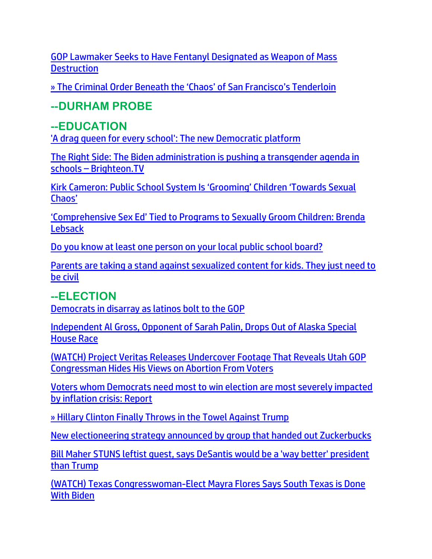[GOP Lawmaker Seeks to Have Fentanyl Designated as Weapon of Mass](https://lists.youmaker.com/links/ONZpJvyrGA/Jlid8tcrj/7xAbPNiP2/2NPrVg2z8)  **[Destruction](https://lists.youmaker.com/links/ONZpJvyrGA/Jlid8tcrj/7xAbPNiP2/2NPrVg2z8)** 

[» The Criminal Order Beneath the 'Chaos' of San Francisco's Tenderloin](https://trk.cp20.com/click/gak4-3nidgn-8bpwxl-f4obzxf7/)

### **--DURHAM PROBE**

### **--EDUCATION**

['A drag queen for every school': The new Democratic platform](https://inform.afa.net/optiext/optiextension.dll?ID=lPOlQpdh1qjtvhQ7IGz7EbGNrrgs5JVS0B6ViiOdPWzFk2pBJoR8ENRCfZH3gp6QDvoDee9OP5HriXId0uZ%2B6Hz5EBLcWeNnBgElp3Ra)

[The Right Side: The Biden administration is pushing a transgender agenda in](https://www.naturalnews.com/2022-06-20-biden-pushing-communist-socialist-transgender-agenda-schools.html)  schools – [Brighteon.TV](https://www.naturalnews.com/2022-06-20-biden-pushing-communist-socialist-transgender-agenda-schools.html)

[Kirk Cameron: Public School System Is 'Grooming' Children 'Towards Sexual](https://lists.youmaker.com/links/4vpa3ZctDQ/Jlid8tcrj/7xAbPNiP2/bIQXW90n4VO)  [Chaos'](https://lists.youmaker.com/links/4vpa3ZctDQ/Jlid8tcrj/7xAbPNiP2/bIQXW90n4VO)

['Comprehensive Sex Ed' Tied to Programs to Sexually Groom Children: Brenda](https://lists.youmaker.com/links/Ydrfg7nXqM/Jlid8tcrj/7xAbPNiP2/hEqIGSZKZ3)  [Lebsack](https://lists.youmaker.com/links/Ydrfg7nXqM/Jlid8tcrj/7xAbPNiP2/hEqIGSZKZ3)

[Do you know at least one person on your local public school board?](https://inform.afa.net/optiext/optiextension.dll?ID=NfeNc%2B1eo3TdQ3T%2BqgtI8ThFtMmWB3hOsfMoRRqY7rCF61d3pht93Fy%2BJwz9lWK0UTwU9Nt3TS9GiCa4SPiHS5NRFgs7wW03S9nmdWNe)

[Parents are taking a stand against sexualized content for kids. They just need to](https://www.lifesitenews.com/blogs/parents-are-taking-a-stand-against-sexualized-content-for-kids-they-just-need-to-be-civil/?utm_source=top_news&utm_campaign=usa)  [be civil](https://www.lifesitenews.com/blogs/parents-are-taking-a-stand-against-sexualized-content-for-kids-they-just-need-to-be-civil/?utm_source=top_news&utm_campaign=usa)

#### **--ELECTION** [Democrats in disarray as latinos bolt to the GOP](https://www.naturalnews.com/2022-06-18-democrats-disarray-as-latinos-bolt-to-gop.html)

[Independent Al Gross, Opponent of Sarah Palin, Drops Out of Alaska Special](https://welovetrump.com/2022/06/21/independent-al-gross-opponent-of-sarah-palin-drops-out-of-alaska-special-house-race/)  [House Race](https://welovetrump.com/2022/06/21/independent-al-gross-opponent-of-sarah-palin-drops-out-of-alaska-special-house-race/)

[\(WATCH\) Project Veritas Releases Undercover Footage That Reveals Utah GOP](https://welovetrump.com/2022/06/21/watch-project-veritas-releases-undercover-footage-that-reveals-utah-gop-congressman-hides-his-views-on-abortion-from-voters/)  [Congressman Hides His Views on Abortion From Voters](https://welovetrump.com/2022/06/21/watch-project-veritas-releases-undercover-footage-that-reveals-utah-gop-congressman-hides-his-views-on-abortion-from-voters/)

[Voters whom Democrats need most to win election are most severely impacted](https://www.theblaze.com/news/voters-democrats-need-most-hurt-by-inflation-crisis)  [by inflation crisis: Report](https://www.theblaze.com/news/voters-democrats-need-most-hurt-by-inflation-crisis) 

[» Hillary Clinton Finally Throws in the Towel Against Trump](https://trk.cp20.com/click/gak4-3ni6ja-8bpubq-f4obzxf2/)

[New electioneering strategy announced by group that handed out Zuckerbucks](https://www.wnd.com/2022/06/new-electioneering-strategy-announced-group-handed-zuckerbucks/)

[Bill Maher STUNS leftist guest, says DeSantis would be a 'way better' president](https://link.theblaze.com/click/28117075.1123285/aHR0cHM6Ly93d3cudGhlYmxhemUuY29tL3Nob3dzL3RoZS1jaGFkLXByYXRoZXItc2hvdy9iaWxsLW1haGVyLWRlc2FudGlzLXRydW1wP3V0bV9zb3VyY2U9dGhlYmxhemUtYnJlYWtpbmcmdXRtX21lZGl1bT1lbWFpbCZ1dG1fY2FtcGFpZ249MjAyMjA2MjBUcmVuZGluZy1EYW5hQmFzaFNjaGlmZiZ1dG1fdGVybT1BQ1RJVkUgTElTVCAtIFRoZUJsYXplIEJyZWFraW5nIE5ld3M/61f82015384ca325d2cdab60C85b247fc)  [than Trump](https://link.theblaze.com/click/28117075.1123285/aHR0cHM6Ly93d3cudGhlYmxhemUuY29tL3Nob3dzL3RoZS1jaGFkLXByYXRoZXItc2hvdy9iaWxsLW1haGVyLWRlc2FudGlzLXRydW1wP3V0bV9zb3VyY2U9dGhlYmxhemUtYnJlYWtpbmcmdXRtX21lZGl1bT1lbWFpbCZ1dG1fY2FtcGFpZ249MjAyMjA2MjBUcmVuZGluZy1EYW5hQmFzaFNjaGlmZiZ1dG1fdGVybT1BQ1RJVkUgTElTVCAtIFRoZUJsYXplIEJyZWFraW5nIE5ld3M/61f82015384ca325d2cdab60C85b247fc)

[\(WATCH\) Texas Congresswoman-Elect Mayra Flores Says South Texas is Done](https://welovetrump.com/2022/06/20/watch-texas-congresswoman-elect-mayra-flores-says-south-texas-is-done-with-biden/)  [With Biden](https://welovetrump.com/2022/06/20/watch-texas-congresswoman-elect-mayra-flores-says-south-texas-is-done-with-biden/)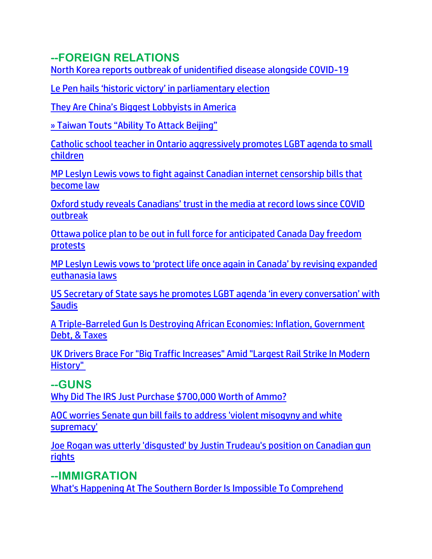## **--FOREIGN RELATIONS**

[North Korea reports outbreak of unidentified disease alongside COVID-19](https://www.jpost.com/international/article-709799)

[Le Pen hails 'historic victory' in parliamentary election](https://www.israelnationalnews.com/news/355259)

[They Are China's Biggest Lobb](https://trk.cp20.com/click/gak4-3nh3pi-8bpjex-f4obzxf1/)yists in America

[» Taiwan Touts "Ability To Attack Beijing"](https://trk.cp20.com/click/gak4-3nh8zp-8bpkkj-f4obzxf6/)

[Catholic school teacher in Ontario aggressively promotes LGBT agenda to small](https://www.lifesitenews.com/blogs/catholic-school-teacher-in-ontario-aggressively-promotes-lgbt-agenda-to-small-children/?utm_source=top_news&utm_campaign=usa)  [children](https://www.lifesitenews.com/blogs/catholic-school-teacher-in-ontario-aggressively-promotes-lgbt-agenda-to-small-children/?utm_source=top_news&utm_campaign=usa)

[MP Leslyn Lewis vows to fight against Canadian internet censorship bills that](https://www.lifesitenews.com/news/mp-leslyn-lewis-vows-to-fight-against-canadian-internet-censorship-bills-that-become-law/?utm_source=top_news&utm_campaign=usa)  [become law](https://www.lifesitenews.com/news/mp-leslyn-lewis-vows-to-fight-against-canadian-internet-censorship-bills-that-become-law/?utm_source=top_news&utm_campaign=usa)

[Oxford study reveals Canadians' trust in the media at record lows since COVID](https://www.lifesitenews.com/news/oxford-study-reveals-canadians-trust-in-the-media-at-record-lows-since-covid-outbreak/?utm_source=top_news&utm_campaign=usa)  [outbreak](https://www.lifesitenews.com/news/oxford-study-reveals-canadians-trust-in-the-media-at-record-lows-since-covid-outbreak/?utm_source=top_news&utm_campaign=usa)

[Ottawa police plan to be out in full force for anticipated Canada Day freedom](https://www.lifesitenews.com/news/ottawa-police-plan-to-be-out-in-full-force-for-anticipated-canada-day-freedom-protests/?utm_source=top_news&utm_campaign=usa)  [protests](https://www.lifesitenews.com/news/ottawa-police-plan-to-be-out-in-full-force-for-anticipated-canada-day-freedom-protests/?utm_source=top_news&utm_campaign=usa)

[MP Leslyn Lewis vows to 'protect life once again in Canada' by revising expanded](https://www.lifesitenews.com/news/mp-leslyn-lewis-vows-to-protect-life-once-again-in-canada-by-revising-expanded-euthanasia-laws/?utm_source=top_news&utm_campaign=usa)  [euthanasia laws](https://www.lifesitenews.com/news/mp-leslyn-lewis-vows-to-protect-life-once-again-in-canada-by-revising-expanded-euthanasia-laws/?utm_source=top_news&utm_campaign=usa)

[US Secretary of State says he promotes LGBT agenda 'in every conversation' with](https://www.lifesitenews.com/news/us-secretary-of-state-says-he-promotes-lgbt-agenda-in-every-conversation-with-saudis/?utm_source=top_news&utm_campaign=usa)  **[Saudis](https://www.lifesitenews.com/news/us-secretary-of-state-says-he-promotes-lgbt-agenda-in-every-conversation-with-saudis/?utm_source=top_news&utm_campaign=usa)** 

[A Triple-Barreled Gun Is Destroying African Economies: Inflation, Government](https://www.zerohedge.com/geopolitical/triple-barreled-gun-destroying-african-economies-inflation-government-debt-taxes)  [Debt, & Taxes](https://www.zerohedge.com/geopolitical/triple-barreled-gun-destroying-african-economies-inflation-government-debt-taxes)

[UK Drivers Brace For "Big Traffic Increases" Amid "Largest Rail Strike In Modern](https://www.zerohedge.com/political/uk-drivers-brace-big-traffic-increases-amid-largest-rail-strike-modern-history)  [History"](https://www.zerohedge.com/political/uk-drivers-brace-big-traffic-increases-amid-largest-rail-strike-modern-history)

### **--GUNS**

[Why Did The IRS Just Purchase \\$700,000 Worth of Ammo?](https://welovetrump.com/2022/06/19/why-did-the-irs-just-purchase-700000-worth-of-ammo/)

[AOC worries Senate gun bill fails to address 'violent misogyny and white](https://link.theblaze.com/click/28091680.1156976/aHR0cHM6Ly93d3cudGhlYmxhemUuY29tL3Nob3dzL3N0dS1kb2VzLWFtZXJpY2EvYW9jLXNlbmF0ZS1ndW4tYmlsbD91dG1fc291cmNlPXRoZWJsYXplLWJyZWFraW5nJnV0bV9tZWRpdW09ZW1haWwmdXRtX2NhbXBhaWduPTIwMjIwNjE3UE1BdXRvVHJlbmRpbmcmdXRtX3Rlcm09QUNUSVZFIExJU1QgLSBUaGVCbGF6ZSBCcmVha2luZyBOZXdz/61f82015384ca325d2cdab60Cfc3534a4)  [supremacy'](https://link.theblaze.com/click/28091680.1156976/aHR0cHM6Ly93d3cudGhlYmxhemUuY29tL3Nob3dzL3N0dS1kb2VzLWFtZXJpY2EvYW9jLXNlbmF0ZS1ndW4tYmlsbD91dG1fc291cmNlPXRoZWJsYXplLWJyZWFraW5nJnV0bV9tZWRpdW09ZW1haWwmdXRtX2NhbXBhaWduPTIwMjIwNjE3UE1BdXRvVHJlbmRpbmcmdXRtX3Rlcm09QUNUSVZFIExJU1QgLSBUaGVCbGF6ZSBCcmVha2luZyBOZXdz/61f82015384ca325d2cdab60Cfc3534a4)

[Joe Rogan was utterly 'disgusted' by Justin Trudeau's position on Canadian gun](https://www.theblaze.com/news/joe-rogan-was-utterly-disgusted-by-justin-trudeau-s-position-on-canadian-gun-rights)  [rights](https://www.theblaze.com/news/joe-rogan-was-utterly-disgusted-by-justin-trudeau-s-position-on-canadian-gun-rights) 

**--IMMIGRATION** 

[What's Happening At The Southern Border Is Impossible To Comprehend](https://ce-publicdy.naturalnews.com/ct.asp?id=29AC3508391BADF209DC07AB0C2B7FAA85441C394B80348A7B97C73E5B14730BD1C72249F99CFB1B6E477C9384AA802C&ct=4aeUsz4AAABCWmgzMUFZJlNZ4OcuBwAAF5mAAAPdcB%2fj3IAgAEEUwJsoz1CNDyhTRoA0AAABG0NJeYGHYsUL0fYIdHmZLmZy3yUY1aSe%2bSZS%2bwaM0HKWvxdyRThQkODnLgc%3d)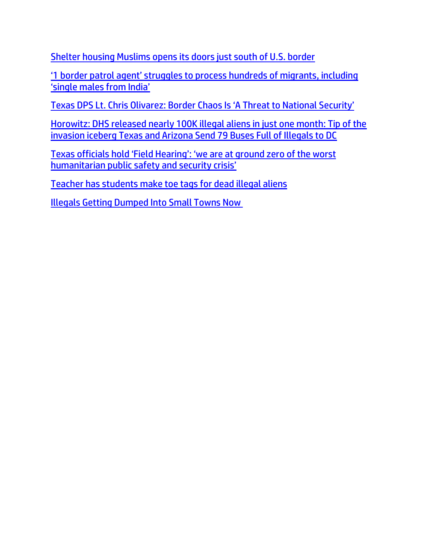[Shelter housing Muslims opens its doors just south of U.S. border](https://www.wnd.com/2022/06/shelter-housing-muslims-opens-doors-just-south-u-s-border/)

['1 border patrol agent' struggles to process hundreds of migrants, including](https://delivery.email.saraacarter.com/GUIDARZE?id=153976=eh4CVwZWCQQBTFcKB1xQVVUDUVAGBwBUUgNTB1sFUFkMBgVVAFYHClUGAlQEXAIBBAAeXlxdAxEKDCRUVABaVBcBXQtPVAYGAggABVcPBAEOClEMAQcaChURFEADThxcXA5bEFYXSR1SXVJbChdGVUVTA1dWQxIHE0sHXFROdG1wJnM0aSAPWlNMRQE=&fl=URZGFkBfHxxDVV9XC1xBRl5XERpdVAMMBksHXFROUFRQAVk=&ext=dD1leUpoYkdjaU9pSklVekkxTmlJc0luUjVjQ0k2SWtwWFZDSjkuZXlKd0lqcGJiblZzYkN4dWRXeHNMQ0pvZEhSd2N6b3ZMM05oY21GaFkyRnlkR1Z5TG1OdmJTOHhMV0p2Y21SbGNpMXdZWFJ5YjJ3dFlXZGxiblF0YzNSeWRXZG5iR1Z6TFhSdkxYQnliMk5sYzNNdGFIVnVaSEpsWkhNdGIyWXRiV2xuY21GdWRITXRhVzVqYkhWa2FXNW5MWE5wYm1kc1pTMXRZV3hsY3kxbWNtOXRMV2x1WkdsaEx6OTFkRzFmYzI5MWNtTmxQV3BsWlc1bkptcGxiVDFqTldFek9EVTNNR013WVdSalkyTm1PR0ZpTTJSak9XSmlOekF5TXpObU15SXNiblZzYkN3eExHWmhiSE5sTEdaaGJITmxMQ0prWkRVd056TXlaQzB6WTJaaExUUTFZamN0T0RVeE1TMDJaV1V5WVRBMk1HRTROek1pTENKbU16RXpOMlEyTXkwd1ltSmlMVFF5TmpndE9ETTVNUzB5TnpjME5EQXlaV1pqWVRZaUxDSTRZV1kxTnpBNE1DMDVZekV6TFRSaVpETXRZamcyWmkwd1lqTmpOV1JtT1RGbU1XSWlMQ0pvZEhSd2N6b3ZMM05oY21GaFkyRnlkR1Z5TG1OdmJTOHhMV0p2Y21SbGNpMXdZWFJ5YjJ3dFlXZGxiblF0YzNSeWRXZG5iR1Z6TFhSdkxYQnliMk5sYzNNdGFIVnVaSEpsWkhNdGIyWXRiV2xuY21GdWRITXRhVzVqYkhWa2FXNW5MWE5wYm1kc1pTMXRZV3hsY3kxbWNtOXRMV2x1WkdsaEx5SXNJbU0zY0ROZk1DSXNJbVZ0WVdsc0lpd2lSRk1pWFN3aWFXRjBJam94TmpVMU9EUTFNamd6ZlEuRVFxNlBzNTZWaGZ6RWp4VmNOeHc2dnNiRGJNU3NCY1MyaE1jbHNla1ZVWQ==)  ['single males from India'](https://delivery.email.saraacarter.com/GUIDARZE?id=153976=eh4CVwZWCQQBTFcKB1xQVVUDUVAGBwBUUgNTB1sFUFkMBgVVAFYHClUGAlQEXAIBBAAeXlxdAxEKDCRUVABaVBcBXQtPVAYGAggABVcPBAEOClEMAQcaChURFEADThxcXA5bEFYXSR1SXVJbChdGVUVTA1dWQxIHE0sHXFROdG1wJnM0aSAPWlNMRQE=&fl=URZGFkBfHxxDVV9XC1xBRl5XERpdVAMMBksHXFROUFRQAVk=&ext=dD1leUpoYkdjaU9pSklVekkxTmlJc0luUjVjQ0k2SWtwWFZDSjkuZXlKd0lqcGJiblZzYkN4dWRXeHNMQ0pvZEhSd2N6b3ZMM05oY21GaFkyRnlkR1Z5TG1OdmJTOHhMV0p2Y21SbGNpMXdZWFJ5YjJ3dFlXZGxiblF0YzNSeWRXZG5iR1Z6TFhSdkxYQnliMk5sYzNNdGFIVnVaSEpsWkhNdGIyWXRiV2xuY21GdWRITXRhVzVqYkhWa2FXNW5MWE5wYm1kc1pTMXRZV3hsY3kxbWNtOXRMV2x1WkdsaEx6OTFkRzFmYzI5MWNtTmxQV3BsWlc1bkptcGxiVDFqTldFek9EVTNNR013WVdSalkyTm1PR0ZpTTJSak9XSmlOekF5TXpObU15SXNiblZzYkN3eExHWmhiSE5sTEdaaGJITmxMQ0prWkRVd056TXlaQzB6WTJaaExUUTFZamN0T0RVeE1TMDJaV1V5WVRBMk1HRTROek1pTENKbU16RXpOMlEyTXkwd1ltSmlMVFF5TmpndE9ETTVNUzB5TnpjME5EQXlaV1pqWVRZaUxDSTRZV1kxTnpBNE1DMDVZekV6TFRSaVpETXRZamcyWmkwd1lqTmpOV1JtT1RGbU1XSWlMQ0pvZEhSd2N6b3ZMM05oY21GaFkyRnlkR1Z5TG1OdmJTOHhMV0p2Y21SbGNpMXdZWFJ5YjJ3dFlXZGxiblF0YzNSeWRXZG5iR1Z6TFhSdkxYQnliMk5sYzNNdGFIVnVaSEpsWkhNdGIyWXRiV2xuY21GdWRITXRhVzVqYkhWa2FXNW5MWE5wYm1kc1pTMXRZV3hsY3kxbWNtOXRMV2x1WkdsaEx5SXNJbU0zY0ROZk1DSXNJbVZ0WVdsc0lpd2lSRk1pWFN3aWFXRjBJam94TmpVMU9EUTFNamd6ZlEuRVFxNlBzNTZWaGZ6RWp4VmNOeHc2dnNiRGJNU3NCY1MyaE1jbHNla1ZVWQ==)

[Texas DPS Lt. Chris Olivarez: Border Chaos Is 'A Threat to National Security'](https://delivery.email.saraacarter.com/GUIDARZE?id=153976=eh4CVwZWCQQBTAQCU1oMBVJRWwwDBQBVVwZUV10AVg0ABAUFVlMCVgZWBgcCWwRSB1EeXlxdAxEKDCRUVABaVBcBXQtPVAYGAgcGAlEPDQ0FB1UCDgUaChURFEADThxcXA5bEFYXSR1SXVJbChdGVUVTA1dWQxIHE0sHXFROdG1wJnM0aSAPWlNMRQE=&fl=URZGFkBfHxxDVV9XC1xBRl5XERpdVAMMBksHXFROUFRQAVk=&ext=dD1leUpoYkdjaU9pSklVekkxTmlJc0luUjVjQ0k2SWtwWFZDSjkuZXlKd0lqcGJiblZzYkN4dWRXeHNMQ0pvZEhSd2N6b3ZMM05oY21GaFkyRnlkR1Z5TG1OdmJTOTBaWGhoY3kxa2NITXRiSFF0WTJoeWFYTXRiMnhwZG1GeVpYb3RZbTl5WkdWeUxXTm9ZVzl6TFdsekxXRXRkR2h5WldGMExYUnZMVzVoZEdsdmJtRnNMWE5sWTNWeWFYUjVMejkxZEcxZmMyOTFjbU5sUFdwbFpXNW5KbXBsYlQxak5XRXpPRFUzTUdNd1lXUmpZMk5tT0dGaU0yUmpPV0ppTnpBeU16Tm1NeUlzYm5Wc2JDd3hMR1poYkhObExHWmhiSE5sTENKa1pEVXdOek15WkMwelkyWmhMVFExWWpjdE9EVXhNUzAyWldVeVlUQTJNR0U0TnpNaUxDSmlZMkUwT0RNell5MW1Zamd6TFRSa1pUY3RPVEF5TVMwMk16WTNOekJsT1dObFpqTWlMQ0k0WVdZMU56QTRNQzA1WXpFekxUUmlaRE10WWpnMlppMHdZak5qTldSbU9URm1NV0lpTENKb2RIUndjem92TDNOaGNtRmhZMkZ5ZEdWeUxtTnZiUzkwWlhoaGN5MWtjSE10YkhRdFkyaHlhWE10YjJ4cGRtRnlaWG90WW05eVpHVnlMV05vWVc5ekxXbHpMV0V0ZEdoeVpXRjBMWFJ2TFc1aGRHbHZibUZzTFhObFkzVnlhWFI1THlJc0ltTTNjRE5mTUNJc0ltVnRZV2xzSWl3aVJGTWlYU3dpYVdGMElqb3hOalUxT0RFMk5UQXdmUS5TYmRhU2g3M0piT0RqSUhvS0FaLXY3Z3QtdlB4SG5OMGtjRTV3SGZmUEdn)

[Horowitz: DHS released nearly 100K illegal aliens in just one month: Tip of the](https://www.theblaze.com/op-ed/horowitz-dhs-releases-illegal-aliens)  [invasion iceberg](https://www.theblaze.com/op-ed/horowitz-dhs-releases-illegal-aliens) [Texas and Arizona Send 79 Buses Full of Illegals to DC](https://ratherexposethem.org/2022/06/20/texas-and-arizona-send-79-buses-full-of-illegals-to-dc/)

[Texas officials hold 'Field Hearing': 'we are at ground zero of the worst](https://delivery.email.saraacarter.com/GUIDARZE?id=153976=eh4CVwZWCQQBTAVTVV0HAwJUVAUAVFBVBwMHUQBTCgEMVgdeA1IFAgBVAAYEDAMCVVYeXlxdAxEKDCRUVABaVBcBXQtPVAYGAgUEBV8PBAEBA1ENAAEaChURFEADThxcXA5bEFYXSR1SXVJbChdGVUVTA1dWQxIHE0sHXFROdG1wJnM0aSAPWlNMRQE=&fl=URZGFkBfHxxDVV9XC1xBRl5XERpdVAMMBksHXFROUFRQAVk=&ext=dD1leUpoYkdjaU9pSklVekkxTmlJc0luUjVjQ0k2SWtwWFZDSjkuZXlKd0lqcGJiblZzYkN4dWRXeHNMQ0pvZEhSd2N6b3ZMM05oY21GaFkyRnlkR1Z5TG1OdmJTOTBaWGhoY3kxdlptWnBZMmxoYkhNdGFHOXNaQzFtYVdWc1pDMW9aV0Z5YVc1bkxYZGxMV0Z5WlMxaGRDMW5jbTkxYm1RdGVtVnlieTF2WmkxMGFHVXRkMjl5YzNRdGFIVnRZVzVwZEdGeWFXRnVMWEIxWW14cFl5MXpZV1psZEhrdFlXNWtMWE5sWTNWeWFYUjVMV055YVhOcGN5OF9kWFJ0WDNOdmRYSmpaVDFxWldWdVp5WnFaVzA5WXpWaE16ZzFOekJqTUdGa1kyTmpaamhoWWpOa1l6bGlZamN3TWpNelpqTWlMRzUxYkd3c01TeG1ZV3h6WlN4bVlXeHpaU3dpWkdRMU1EY3pNbVF0TTJObVlTMDBOV0kzTFRnMU1URXRObVZsTW1Fd05qQmhPRGN6SWl3aVpURTBZalV4Wm1VdE1qSmlaaTAwTURNekxXSTBORFl0WVdNeU9EWmxOVGN5TURrM0lpd2lPR0ZtTlRjd09EQXRPV014TXkwMFltUXpMV0k0Tm1ZdE1HSXpZelZrWmpreFpqRmlJaXdpYUhSMGNITTZMeTl6WVhKaFlXTmhjblJsY2k1amIyMHZkR1Y0WVhNdGIyWm1hV05wWVd4ekxXaHZiR1F0Wm1sbGJHUXRhR1ZoY21sdVp5MTNaUzFoY21VdFlYUXRaM0p2ZFc1a0xYcGxjbTh0YjJZdGRHaGxMWGR2Y25OMExXaDFiV0Z1YVhSaGNtbGhiaTF3ZFdKc2FXTXRjMkZtWlhSNUxXRnVaQzF6WldOMWNtbDBlUzFqY21semFYTXZJaXdpWXpkd00xOHdJaXdpWlcxaGFXd2lMQ0pFVXlKZExDSnBZWFFpT2pFMk5UVTFPRFl4TVRSOS5mV1F5ODh6d0poSWo5bTZWQURMNGtDMVhsSDZEQk55SElBYUhnZ1FCOTNZ)  [humanitarian public safety and security crisis'](https://delivery.email.saraacarter.com/GUIDARZE?id=153976=eh4CVwZWCQQBTAVTVV0HAwJUVAUAVFBVBwMHUQBTCgEMVgdeA1IFAgBVAAYEDAMCVVYeXlxdAxEKDCRUVABaVBcBXQtPVAYGAgUEBV8PBAEBA1ENAAEaChURFEADThxcXA5bEFYXSR1SXVJbChdGVUVTA1dWQxIHE0sHXFROdG1wJnM0aSAPWlNMRQE=&fl=URZGFkBfHxxDVV9XC1xBRl5XERpdVAMMBksHXFROUFRQAVk=&ext=dD1leUpoYkdjaU9pSklVekkxTmlJc0luUjVjQ0k2SWtwWFZDSjkuZXlKd0lqcGJiblZzYkN4dWRXeHNMQ0pvZEhSd2N6b3ZMM05oY21GaFkyRnlkR1Z5TG1OdmJTOTBaWGhoY3kxdlptWnBZMmxoYkhNdGFHOXNaQzFtYVdWc1pDMW9aV0Z5YVc1bkxYZGxMV0Z5WlMxaGRDMW5jbTkxYm1RdGVtVnlieTF2WmkxMGFHVXRkMjl5YzNRdGFIVnRZVzVwZEdGeWFXRnVMWEIxWW14cFl5MXpZV1psZEhrdFlXNWtMWE5sWTNWeWFYUjVMV055YVhOcGN5OF9kWFJ0WDNOdmRYSmpaVDFxWldWdVp5WnFaVzA5WXpWaE16ZzFOekJqTUdGa1kyTmpaamhoWWpOa1l6bGlZamN3TWpNelpqTWlMRzUxYkd3c01TeG1ZV3h6WlN4bVlXeHpaU3dpWkdRMU1EY3pNbVF0TTJObVlTMDBOV0kzTFRnMU1URXRObVZsTW1Fd05qQmhPRGN6SWl3aVpURTBZalV4Wm1VdE1qSmlaaTAwTURNekxXSTBORFl0WVdNeU9EWmxOVGN5TURrM0lpd2lPR0ZtTlRjd09EQXRPV014TXkwMFltUXpMV0k0Tm1ZdE1HSXpZelZrWmpreFpqRmlJaXdpYUhSMGNITTZMeTl6WVhKaFlXTmhjblJsY2k1amIyMHZkR1Y0WVhNdGIyWm1hV05wWVd4ekxXaHZiR1F0Wm1sbGJHUXRhR1ZoY21sdVp5MTNaUzFoY21VdFlYUXRaM0p2ZFc1a0xYcGxjbTh0YjJZdGRHaGxMWGR2Y25OMExXaDFiV0Z1YVhSaGNtbGhiaTF3ZFdKc2FXTXRjMkZtWlhSNUxXRnVaQzF6WldOMWNtbDBlUzFqY21semFYTXZJaXdpWXpkd00xOHdJaXdpWlcxaGFXd2lMQ0pFVXlKZExDSnBZWFFpT2pFMk5UVTFPRFl4TVRSOS5mV1F5ODh6d0poSWo5bTZWQURMNGtDMVhsSDZEQk55SElBYUhnZ1FCOTNZ)

[Teacher has students make toe tags for dead illegal aliens](https://www.wnd.com/2022/06/teacher-students-make-toe-tags-dead-illegal-aliens/)

[Illegals Getting Dumped Into Small Towns Now](https://populistpress.com/illegals-getting-dumped-into-small-towns-now/)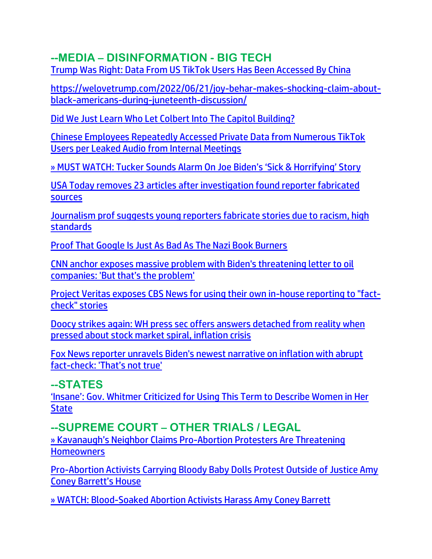## **--MEDIA – DISINFORMATION - BIG TECH**

[Trump Was Right: Data From US TikTok Users Has Been Accessed By China](https://welovetrump.com/2022/06/20/trump-was-right-data-from-us-tiktok-users-has-been-accessed-by-china/)

[https://welovetrump.com/2022/06/21/joy-behar-makes-shocking-claim-about](https://welovetrump.com/2022/06/21/joy-behar-makes-shocking-claim-about-black-americans-during-juneteenth-discussion/)[black-americans-during-juneteenth-discussion/](https://welovetrump.com/2022/06/21/joy-behar-makes-shocking-claim-about-black-americans-during-juneteenth-discussion/)

[Did We Just Learn Who Let Colbert Into The Capitol Building?](https://welovetrump.com/2022/06/19/did-we-just-learn-who-let-colbert-into-the-capitol-building/)

[Chinese Employees Repeatedly Accessed Private Data from Numerous TikTok](https://www.thegatewaypundit.com/2022/06/chinese-employees-repeatedly-accessed-private-data-numerous-tiktok-users-per-leaked-audio-internal-meetings/)  [Users per Leaked Audio from Internal Meetings](https://www.thegatewaypundit.com/2022/06/chinese-employees-repeatedly-accessed-private-data-numerous-tiktok-users-per-leaked-audio-internal-meetings/)

[» MUST WATCH: Tucker Sounds Alarm On Joe Biden's 'Sick & Horrifying' Story](https://trk.cp20.com/click/gak4-3nidgn-8bpwxo-f4obzxf0/)

[USA Today removes 23 articles after investigation found reporter fabricated](https://www.naturalnews.com/2022-06-17-usa-today-removes-23-articles-after-investigation.html)  [sources](https://www.naturalnews.com/2022-06-17-usa-today-removes-23-articles-after-investigation.html)

[Journalism prof suggests young reporters](https://www.wnd.com/2022/06/journalism-prof-suggests-young-reporters-fabricate-stories-due-racism-high-standards/) fabricate stories due to racism, high [standards](https://www.wnd.com/2022/06/journalism-prof-suggests-young-reporters-fabricate-stories-due-racism-high-standards/)

[Proof That Google Is Just As Bad As The Nazi Book Burners](https://allnewspipeline.com/Google_Has_A_Kill_List.php)

[CNN anchor exposes massive problem with Biden's threatening letter to oil](https://link.theblaze.com/click/28073375.1055286/aHR0cHM6Ly93d3cudGhlYmxhemUuY29tL25ld3MvYmVybWFuLXByb2JsZW0tYmlkZW4tcGxhbi1vaWwtY29tcGFuaWVzP3V0bV9zb3VyY2U9dGhlYmxhemUtZGFpbHlBTSZ1dG1fbWVkaXVtPWVtYWlsJnV0bV9jYW1wYWlnbj1EYWlseS1OZXdzbGV0dGVyX19BTSAyMDIyLTA2LTE2JnV0bV90ZXJtPUFDVElWRSBMSVNUIC0gVGhlQmxhemUgRGFpbHkgQU0/61f82015384ca325d2cdab60C92300585)  [companies: 'But that's the problem'](https://link.theblaze.com/click/28073375.1055286/aHR0cHM6Ly93d3cudGhlYmxhemUuY29tL25ld3MvYmVybWFuLXByb2JsZW0tYmlkZW4tcGxhbi1vaWwtY29tcGFuaWVzP3V0bV9zb3VyY2U9dGhlYmxhemUtZGFpbHlBTSZ1dG1fbWVkaXVtPWVtYWlsJnV0bV9jYW1wYWlnbj1EYWlseS1OZXdzbGV0dGVyX19BTSAyMDIyLTA2LTE2JnV0bV90ZXJtPUFDVElWRSBMSVNUIC0gVGhlQmxhemUgRGFpbHkgQU0/61f82015384ca325d2cdab60C92300585)

[Project Veritas exposes CBS News for using their own in-house reporting to "fact](https://ce-publicdy.naturalnews.com/ct.asp?id=5D28892FA399ABE3CFE7E1DBC570103F22E4A98C2291B98AF5CB7632BD7CA38EB57865FB04CCE94B4588D22AFE5F520B&ct=4aeUs2IAAABCWmgzMUFZJlNZuJf6EAAAGJmAAAP1EDvv3oAgAEiKeUep6EaekP1JpoxFH6TTSemoaaGRoVmu9SuVAin%2b9uN5kaPQ4CQgU%2bu2r8lgCiayzj7A3Svpt3HQ1TG0aQFGLCTzl8RqyV3cOJrIKQt%2bLuSKcKEhcS%2f0IA%3d%3d)[check" stories](https://ce-publicdy.naturalnews.com/ct.asp?id=5D28892FA399ABE3CFE7E1DBC570103F22E4A98C2291B98AF5CB7632BD7CA38EB57865FB04CCE94B4588D22AFE5F520B&ct=4aeUs2IAAABCWmgzMUFZJlNZuJf6EAAAGJmAAAP1EDvv3oAgAEiKeUep6EaekP1JpoxFH6TTSemoaaGRoVmu9SuVAin%2b9uN5kaPQ4CQgU%2bu2r8lgCiayzj7A3Svpt3HQ1TG0aQFGLCTzl8RqyV3cOJrIKQt%2bLuSKcKEhcS%2f0IA%3d%3d)

[Doocy strikes again: WH press sec offers answers detached from reality when](https://link.theblaze.com/click/28055413.579721/aHR0cHM6Ly93d3cudGhlYmxhemUuY29tL25ld3MvamVhbi1waWVycmUtZG9vY3ktc3RvY2stbWFya2V0LWluZmxhdGlvbj91dG1fc291cmNlPXRoZWJsYXplLWJyZWFraW5nJnV0bV9tZWRpdW09ZW1haWwmdXRtX2NhbXBhaWduPTIwMjIwNjE0VHJlbmRpbmctRG9vY3lBQlRlc3QmdXRtX3Rlcm09QUNUSVZFIExJU1QgLSBUaGVCbGF6ZSBCcmVha2luZyBOZXdz/61f82015384ca325d2cdab60C06180592)  [pressed about stock market spiral, inflation crisis](https://link.theblaze.com/click/28055413.579721/aHR0cHM6Ly93d3cudGhlYmxhemUuY29tL25ld3MvamVhbi1waWVycmUtZG9vY3ktc3RvY2stbWFya2V0LWluZmxhdGlvbj91dG1fc291cmNlPXRoZWJsYXplLWJyZWFraW5nJnV0bV9tZWRpdW09ZW1haWwmdXRtX2NhbXBhaWduPTIwMjIwNjE0VHJlbmRpbmctRG9vY3lBQlRlc3QmdXRtX3Rlcm09QUNUSVZFIExJU1QgLSBUaGVCbGF6ZSBCcmVha2luZyBOZXdz/61f82015384ca325d2cdab60C06180592)

[Fox News reporter unravels Biden's newest narrative on inflation with abrupt](https://link.theblaze.com/click/28091343.1147303/aHR0cHM6Ly93d3cudGhlYmxhemUuY29tL25ld3MvcGV0ZXItZG9vY3ktY2FsbHMtb3V0LWJpZGVuLW5hcnJhdGl2ZS1pbmZsYXRpb24_dXRtX3NvdXJjZT10aGVibGF6ZS1icmVha2luZyZ1dG1fbWVkaXVtPWVtYWlsJnV0bV9jYW1wYWlnbj0yMDIyMDYxN3RyZW5kaW5nLUZveEJpZGVuJnV0bV90ZXJtPUFDVElWRSBMSVNUIC0gVGhlQmxhemUgQnJlYWtpbmcgTmV3cw/61f82015384ca325d2cdab60C2db3a718)  fact-[check: 'That's not true'](https://link.theblaze.com/click/28091343.1147303/aHR0cHM6Ly93d3cudGhlYmxhemUuY29tL25ld3MvcGV0ZXItZG9vY3ktY2FsbHMtb3V0LWJpZGVuLW5hcnJhdGl2ZS1pbmZsYXRpb24_dXRtX3NvdXJjZT10aGVibGF6ZS1icmVha2luZyZ1dG1fbWVkaXVtPWVtYWlsJnV0bV9jYW1wYWlnbj0yMDIyMDYxN3RyZW5kaW5nLUZveEJpZGVuJnV0bV90ZXJtPUFDVElWRSBMSVNUIC0gVGhlQmxhemUgQnJlYWtpbmcgTmV3cw/61f82015384ca325d2cdab60C2db3a718)

#### **--STATES**

['Insane': Gov. Whitmer Criticized for Using This Term to Describe Women in Her](https://welovetrump.com/2022/06/21/insane-gov-whitmer-criticized-for-using-this-term-to-describe-women-in-her-state/)  **[State](https://welovetrump.com/2022/06/21/insane-gov-whitmer-criticized-for-using-this-term-to-describe-women-in-her-state/)** 

### **--SUPREME COURT – OTHER TRIALS / LEGAL**

» Kavanaugh's Neighbor Claims Pro[-Abortion Protesters Are Threatening](https://trk.cp20.com/click/gak4-3nhfdv-8bpndv-f4obzxf4/)  **[Homeowners](https://trk.cp20.com/click/gak4-3nhfdv-8bpndv-f4obzxf4/)** 

[Pro-Abortion Activists Carrying Bloody Baby Dolls Protest Outside of Justice Amy](https://welovetrump.com/2022/06/19/pro-abortion-activists-carrying-bloody-baby-dolls-protest-outside-of-justice-amy-coney-barretts-house/)  [Coney Barrett's House](https://welovetrump.com/2022/06/19/pro-abortion-activists-carrying-bloody-baby-dolls-protest-outside-of-justice-amy-coney-barretts-house/)

[» WATCH: Blood-Soaked Abortion Activists Harass Amy Coney Barrett](https://trk.cp20.com/click/gak4-3nidgn-8bpwxn-f4obzxf9/)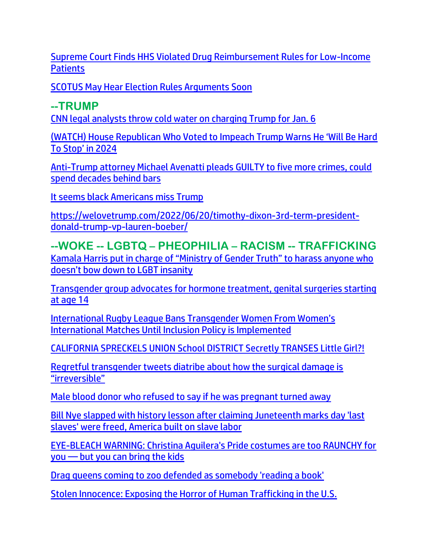[Supreme Court Finds HHS Violated Drug Reimbursement Rules for Low-Income](https://lists.youmaker.com/links/ONZpJvyrGA/Jlid8tcrj/7xAbPNiP2/3beL1GtrWO)  **[Patients](https://lists.youmaker.com/links/ONZpJvyrGA/Jlid8tcrj/7xAbPNiP2/3beL1GtrWO)** 

[SCOTUS May Hear Election Rules Arguments Soon](https://welovetrump.com/2022/06/20/scotus-may-hear-election-rules-arguments-soon/)

#### **--TRUMP**

[CNN legal analysts throw cold water on charging Trump for Jan. 6](https://www.wnd.com/2022/06/cnn-legal-analysts-throw-cold-water-charging-trump-jan-6/)

[\(WATCH\) House Republican Who Voted to Impeach Trump Warns He 'Will Be Hard](https://welovetrump.com/2022/06/19/watch-house-republican-who-voted-to-impeach-trump-warns-he-will-be-hard-to-stop-in-2024/)  [To Stop' in 2024](https://welovetrump.com/2022/06/19/watch-house-republican-who-voted-to-impeach-trump-warns-he-will-be-hard-to-stop-in-2024/)

[Anti-Trump attorney Michael Avenatti pleads GUILTY to five more crimes, could](https://www.naturalnews.com/2022-06-18-michael-avenatti-pleads-guilty-faces-decades-jail.html)  [spend decades behind bars](https://www.naturalnews.com/2022-06-18-michael-avenatti-pleads-guilty-faces-decades-jail.html)

[It seems black Americans miss Trump](https://www.wnd.com/2022/06/seems-black-americans-miss-trump/)

[https://welovetrump.com/2022/06/20/timothy-dixon-3rd-term-president](https://welovetrump.com/2022/06/20/timothy-dixon-3rd-term-president-donald-trump-vp-lauren-boeber/)[donald-trump-vp-lauren-boeber/](https://welovetrump.com/2022/06/20/timothy-dixon-3rd-term-president-donald-trump-vp-lauren-boeber/)

**--WOKE -- LGBTQ – PHEOPHILIA – RACISM -- TRAFFICKING** [Kamala Harris put in charge of "Ministry of Gender Truth" to harass anyone who](https://www.naturalnews.com/2022-06-20-kamala-harris-in-charge-ministry-of-gender-truth.html) [doesn't bow down to LGBT insanity](https://www.naturalnews.com/2022-06-20-kamala-harris-in-charge-ministry-of-gender-truth.html)

[Transgender group advocates for hormone treatment, genital surgeries starting](https://www.lifesitenews.com/news/transgender-group-advocates-for-hormone-treatment-genital-surgeries-starting-at-age-14/?utm_source=top_news&utm_campaign=usa)  [at age 14](https://www.lifesitenews.com/news/transgender-group-advocates-for-hormone-treatment-genital-surgeries-starting-at-age-14/?utm_source=top_news&utm_campaign=usa)

[International Rugby League Bans Transgender W](https://welovetrump.com/2022/06/21/international-rugby-league-bans-transgender-women-from-womens-international-matches-until-inclusion-policy-is-implemented/)omen From Women's [International Matches Until Inclusion Policy is Implemented](https://welovetrump.com/2022/06/21/international-rugby-league-bans-transgender-women-from-womens-international-matches-until-inclusion-policy-is-implemented/)

[CALIFORNIA SPRECKELS UNION School DISTRICT Secretly TRANSES Little Girl?!](https://ratherexposethem.org/2022/06/21/spreckels-union-school-district-secretly-transes-little-girl/)

[Regretful transgender tweets diatribe about how the surgical damage is](https://www.naturalnews.com/2022-06-20-regretful-transgender-tweets-diatribe-surgical-damage-irreversible.html)  ["irreversible"](https://www.naturalnews.com/2022-06-20-regretful-transgender-tweets-diatribe-surgical-damage-irreversible.html)

[Male blood donor who refused to say if he was pregnant turned away](https://www.telegraph.co.uk/news/2022/06/18/male-blood-donor-refused-say-pregnant-turned-away/)

[Bill Nye slapped with history lesson after claiming Juneteenth marks day 'last](https://link.theblaze.com/click/28118734.920662/aHR0cHM6Ly93d3cudGhlYmxhemUuY29tL25ld3MvYmlsbC1ueWUtaGlzdG9yeS1sZXNzb24tanVuZXRlZW50aD91dG1fc291cmNlPXRoZWJsYXplLTdEYXlUcmVuZGluZ1Rlc3QmdXRtX21lZGl1bT1lbWFpbCZ1dG1fY2FtcGFpZ249QWZ0ZXJub29uIEF1dG8gVHJlbmRpbmcgNyBEYXkgRW5nYWdlZCAyMDIyLTA2LTIwJnV0bV90ZXJtPUFDVElWRSBMSVNUIC0gNyBEYXkgRW5nYWdlbWVudA/61f82015384ca325d2cdab60Ccddcae75)  [slaves' were freed, America built on slave labor](https://link.theblaze.com/click/28118734.920662/aHR0cHM6Ly93d3cudGhlYmxhemUuY29tL25ld3MvYmlsbC1ueWUtaGlzdG9yeS1sZXNzb24tanVuZXRlZW50aD91dG1fc291cmNlPXRoZWJsYXplLTdEYXlUcmVuZGluZ1Rlc3QmdXRtX21lZGl1bT1lbWFpbCZ1dG1fY2FtcGFpZ249QWZ0ZXJub29uIEF1dG8gVHJlbmRpbmcgNyBEYXkgRW5nYWdlZCAyMDIyLTA2LTIwJnV0bV90ZXJtPUFDVElWRSBMSVNUIC0gNyBEYXkgRW5nYWdlbWVudA/61f82015384ca325d2cdab60Ccddcae75)

[EYE-BLEACH WARNING: Christina Aguilera's Pride costumes are too RAUNCHY for](https://link.theblaze.com/click/28060472.1055670/aHR0cHM6Ly93d3cudGhlYmxhemUuY29tL3Nob3dzL3BhdC1ncmF5LXVubGVhc2hlZC9jaHJpc3RpbmEtYWd1aWxlcmEtcmF1bmNoeS1wcmlkZS1jb3N0dW1lcz91dG1fc291cmNlPXRoZWJsYXplLWRhaWx5QU0mdXRtX21lZGl1bT1lbWFpbCZ1dG1fY2FtcGFpZ249RGFpbHktTmV3c2xldHRlcl9fQU0gMjAyMi0wNi0xNSZ1dG1fdGVybT1BQ1RJVkUgTElTVCAtIFRoZUJsYXplIERhaWx5IEFN/61f82015384ca325d2cdab60C2f6dd338)  you — [but you can bring the kids](https://link.theblaze.com/click/28060472.1055670/aHR0cHM6Ly93d3cudGhlYmxhemUuY29tL3Nob3dzL3BhdC1ncmF5LXVubGVhc2hlZC9jaHJpc3RpbmEtYWd1aWxlcmEtcmF1bmNoeS1wcmlkZS1jb3N0dW1lcz91dG1fc291cmNlPXRoZWJsYXplLWRhaWx5QU0mdXRtX21lZGl1bT1lbWFpbCZ1dG1fY2FtcGFpZ249RGFpbHktTmV3c2xldHRlcl9fQU0gMjAyMi0wNi0xNSZ1dG1fdGVybT1BQ1RJVkUgTElTVCAtIFRoZUJsYXplIERhaWx5IEFN/61f82015384ca325d2cdab60C2f6dd338)

[Drag queens coming to zoo defended as somebody 'reading a book'](https://inform.afa.net/optiext/optiextension.dll?ID=_CD_DtNV5Z0ZVqirlI%2Bbptc0qW46vxtpK2DARMrvamGXzY3ox10LM5psZMGlkOBJnzsWcJqUT1bw3HGkjb12vANhw45yNFUr32cnmH_4)

[Stolen Innocence: Exposing the Horror of Human Trafficking in the U.S.](https://delivery.email.saraacarter.com/GUIDARZE?id=153976=eh4CVwZWCQQBTAQDBF0HVVFXV1YAVAcEVAAGVQxTUlwLAFdSBVEAVgRSUAJSXwQMB1MeXlxdAxEKDCRUVABaVBcBXQtPVAYGAgIAAFUPBAECClQAAwgaChURFEADThxcXA5bEFYXSR1SXVJbChdGVUVTA1dWQxIHE0sHXFROdG1wJnM0aSAPWlNMRQE=&fl=URZGFkBfHxxDVV9XC1xBRl5XERpdVAMMBksHXFROUFRQAVk=&ext=dD1leUpoYkdjaU9pSklVekkxTmlJc0luUjVjQ0k2SWtwWFZDSjkuZXlKd0lqcGJiblZzYkN4dWRXeHNMQ0pvZEhSd2N6b3ZMM05oY21GaFkyRnlkR1Z5TG1OdmJTOXpkRzlzWlc0dGFXNXViMk5sYm1ObExXVjRjRzl6YVc1bkxYUm9aUzFvYjNKeWIzSXRiMll0YUhWdFlXNHRkSEpoWm1acFkydHBibWN0YVc0dGRHaGxMWFV0Y3k4X2RYUnRYM052ZFhKalpUMXFaV1Z1WnlacVpXMDlZelZoTXpnMU56QmpNR0ZrWTJOalpqaGhZak5rWXpsaVlqY3dNak16WmpNaUxHNTFiR3dzTVN4bVlXeHpaU3htWVd4elpTd2laR1ExTURjek1tUXRNMk5tWVMwME5XSTNMVGcxTVRFdE5tVmxNbUV3TmpCaE9EY3pJaXdpTW1ReVl6TTJPVFV0WVRaak5pMDBOVE13TFdKa05Ua3RZVGhpWkRsbE5tUmxNakE0SWl3aU9HRm1OVGN3T0RBdE9XTXhNeTAwWW1RekxXSTRObVl0TUdJell6Vmtaamt4WmpGaUlpd2lhSFIwY0hNNkx5OXpZWEpoWVdOaGNuUmxjaTVqYjIwdmMzUnZiR1Z1TFdsdWJtOWpaVzVqWlMxbGVIQnZjMmx1WnkxMGFHVXRhRzl5Y205eUxXOW1MV2gxYldGdUxYUnlZV1ptYVdOcmFXNW5MV2x1TFhSb1pTMTFMWE12SWl3aVl6ZHdNMTh3SWl3aVpXMWhhV3dpTENKRVV5SmRMQ0pwWVhRaU9qRTJOVFV5TkRBME56QjkuZTFWZWhCV2pIaGhJQm02QlEyQkFZVmt0NXJ6bmVmWk5keER0YXNBRGt0aw==)